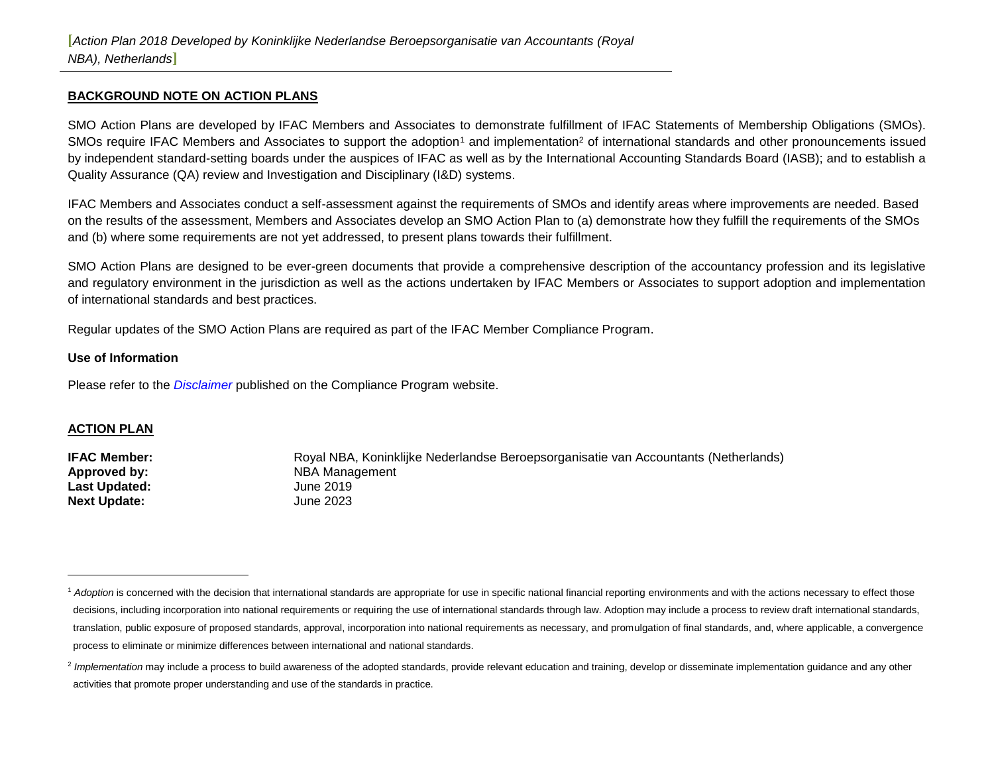#### **BACKGROUND NOTE ON ACTION PLANS**

SMO Action Plans are developed by IFAC Members and Associates to demonstrate fulfillment of IFAC Statements of Membership Obligations (SMOs). SMOs require IFAC Members and Associates to support the adoption<sup>1</sup> and implementation<sup>2</sup> of international standards and other pronouncements issued by independent standard-setting boards under the auspices of IFAC as well as by the International Accounting Standards Board (IASB); and to establish a Quality Assurance (QA) review and Investigation and Disciplinary (I&D) systems.

IFAC Members and Associates conduct a self-assessment against the requirements of SMOs and identify areas where improvements are needed. Based on the results of the assessment, Members and Associates develop an SMO Action Plan to (a) demonstrate how they fulfill the requirements of the SMOs and (b) where some requirements are not yet addressed, to present plans towards their fulfillment.

SMO Action Plans are designed to be ever-green documents that provide a comprehensive description of the accountancy profession and its legislative and regulatory environment in the jurisdiction as well as the actions undertaken by IFAC Members or Associates to support adoption and implementation of international standards and best practices.

Regular updates of the SMO Action Plans are required as part of the IFAC Member Compliance Program.

#### **Use of Information**

Please refer to the *[Disclaimer](http://www.ifac.org/about-ifac/membership/members/disclaimer)* published on the Compliance Program website.

#### **ACTION PLAN**

Last Updated: June 2019 **Next Update:** June 2023

 $\overline{a}$ 

**IFAC Member:** Royal NBA, Koninklijke Nederlandse Beroepsorganisatie van Accountants (Netherlands) **Approved by:** NBA Management

<sup>&</sup>lt;sup>1</sup> Adoption is concerned with the decision that international standards are appropriate for use in specific national financial reporting environments and with the actions necessary to effect those decisions, including incorporation into national requirements or requiring the use of international standards through law. Adoption may include a process to review draft international standards, translation, public exposure of proposed standards, approval, incorporation into national requirements as necessary, and promulgation of final standards, and, where applicable, a convergence process to eliminate or minimize differences between international and national standards.

<sup>&</sup>lt;sup>2</sup> Implementation may include a process to build awareness of the adopted standards, provide relevant education and training, develop or disseminate implementation guidance and any other activities that promote proper understanding and use of the standards in practice.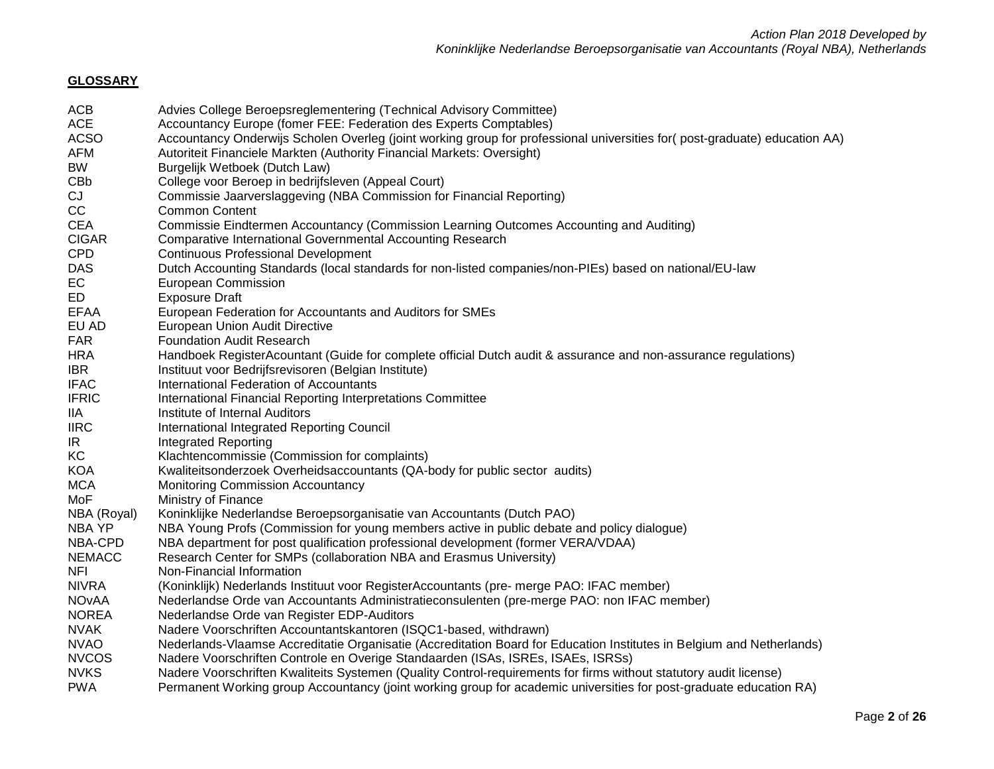# **GLOSSARY**

| ACB           | Advies College Beroepsreglementering (Technical Advisory Committee)                                                       |
|---------------|---------------------------------------------------------------------------------------------------------------------------|
| <b>ACE</b>    | Accountancy Europe (fomer FEE: Federation des Experts Comptables)                                                         |
| <b>ACSO</b>   | Accountancy Onderwijs Scholen Overleg (joint working group for professional universities for(post-graduate) education AA) |
| AFM           | Autoriteit Financiele Markten (Authority Financial Markets: Oversight)                                                    |
| BW            | Burgelijk Wetboek (Dutch Law)                                                                                             |
| CBb           | College voor Beroep in bedrijfsleven (Appeal Court)                                                                       |
| CJ            | Commissie Jaarverslaggeving (NBA Commission for Financial Reporting)                                                      |
| CC            | <b>Common Content</b>                                                                                                     |
| CEA           | Commissie Eindtermen Accountancy (Commission Learning Outcomes Accounting and Auditing)                                   |
| <b>CIGAR</b>  | Comparative International Governmental Accounting Research                                                                |
| CPD           | <b>Continuous Professional Development</b>                                                                                |
| DAS           | Dutch Accounting Standards (local standards for non-listed companies/non-PIEs) based on national/EU-law                   |
| EC            | European Commission                                                                                                       |
| ED            | <b>Exposure Draft</b>                                                                                                     |
| <b>EFAA</b>   | European Federation for Accountants and Auditors for SMEs                                                                 |
| EU AD         | European Union Audit Directive                                                                                            |
| <b>FAR</b>    | <b>Foundation Audit Research</b>                                                                                          |
| <b>HRA</b>    | Handboek RegisterAcountant (Guide for complete official Dutch audit & assurance and non-assurance regulations)            |
| IBR           | Instituut voor Bedrijfsrevisoren (Belgian Institute)                                                                      |
| <b>IFAC</b>   | International Federation of Accountants                                                                                   |
| <b>IFRIC</b>  | International Financial Reporting Interpretations Committee                                                               |
| IIA           | Institute of Internal Auditors                                                                                            |
| <b>IIRC</b>   | International Integrated Reporting Council                                                                                |
| IR.           | <b>Integrated Reporting</b>                                                                                               |
| КC            | Klachtencommissie (Commission for complaints)                                                                             |
| <b>KOA</b>    | Kwaliteitsonderzoek Overheidsaccountants (QA-body for public sector audits)                                               |
| <b>MCA</b>    | Monitoring Commission Accountancy                                                                                         |
| MoF           | Ministry of Finance                                                                                                       |
| NBA (Royal)   | Koninklijke Nederlandse Beroepsorganisatie van Accountants (Dutch PAO)                                                    |
| NBA YP        | NBA Young Profs (Commission for young members active in public debate and policy dialogue)                                |
| NBA-CPD       | NBA department for post qualification professional development (former VERA/VDAA)                                         |
| <b>NEMACC</b> | Research Center for SMPs (collaboration NBA and Erasmus University)                                                       |
| NFI           | Non-Financial Information                                                                                                 |
| <b>NIVRA</b>  | (Koninklijk) Nederlands Instituut voor RegisterAccountants (pre- merge PAO: IFAC member)                                  |
| NOvAA         | Nederlandse Orde van Accountants Administratieconsulenten (pre-merge PAO: non IFAC member)                                |
| <b>NOREA</b>  | Nederlandse Orde van Register EDP-Auditors                                                                                |
| <b>NVAK</b>   | Nadere Voorschriften Accountantskantoren (ISQC1-based, withdrawn)                                                         |
| <b>NVAO</b>   | Nederlands-Vlaamse Accreditatie Organisatie (Accreditation Board for Education Institutes in Belgium and Netherlands)     |
| <b>NVCOS</b>  | Nadere Voorschriften Controle en Overige Standaarden (ISAs, ISREs, ISAEs, ISRSs)                                          |
| <b>NVKS</b>   | Nadere Voorschriften Kwaliteits Systemen (Quality Control-requirements for firms without statutory audit license)         |
| <b>PWA</b>    | Permanent Working group Accountancy (joint working group for academic universities for post-graduate education RA)        |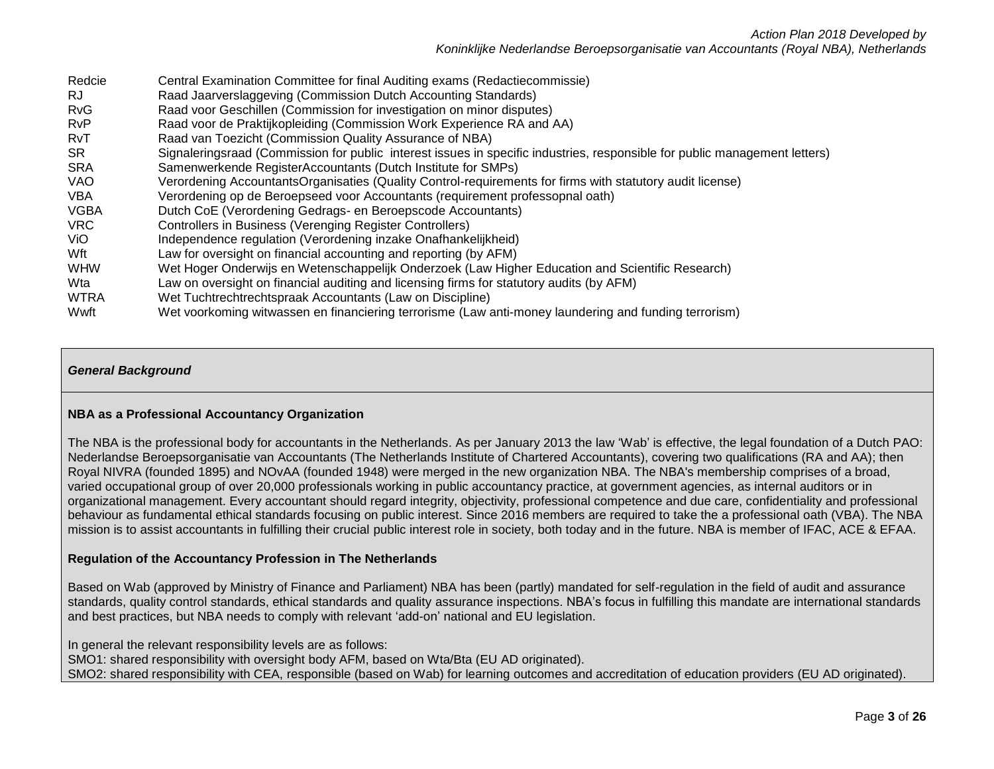| Redcie      | Central Examination Committee for final Auditing exams (Redactiecommissie)                                                 |
|-------------|----------------------------------------------------------------------------------------------------------------------------|
| RJ.         | Raad Jaarverslaggeving (Commission Dutch Accounting Standards)                                                             |
| <b>RvG</b>  | Raad voor Geschillen (Commission for investigation on minor disputes)                                                      |
| <b>RvP</b>  | Raad voor de Praktijkopleiding (Commission Work Experience RA and AA)                                                      |
| <b>RvT</b>  | Raad van Toezicht (Commission Quality Assurance of NBA)                                                                    |
| <b>SR</b>   | Signaleringsraad (Commission for public interest issues in specific industries, responsible for public management letters) |
| <b>SRA</b>  | Samenwerkende RegisterAccountants (Dutch Institute for SMPs)                                                               |
| <b>VAO</b>  | Verordening AccountantsOrganisaties (Quality Control-requirements for firms with statutory audit license)                  |
| <b>VBA</b>  | Verordening op de Beroepseed voor Accountants (requirement professopnal oath)                                              |
| <b>VGBA</b> | Dutch CoE (Verordening Gedrags- en Beroepscode Accountants)                                                                |
| <b>VRC</b>  | Controllers in Business (Verenging Register Controllers)                                                                   |
| ViO.        | Independence regulation (Verordening inzake Onafhankelijkheid)                                                             |
| Wft         | Law for oversight on financial accounting and reporting (by AFM)                                                           |
| <b>WHW</b>  | Wet Hoger Onderwijs en Wetenschappelijk Onderzoek (Law Higher Education and Scientific Research)                           |
| Wta         | Law on oversight on financial auditing and licensing firms for statutory audits (by AFM)                                   |
| <b>WTRA</b> | Wet Tuchtrechtrechtspraak Accountants (Law on Discipline)                                                                  |
| Wwft        | Wet voorkoming witwassen en financiering terrorisme (Law anti-money laundering and funding terrorism)                      |

#### *General Background*

#### **NBA as a Professional Accountancy Organization**

The NBA is the professional body for accountants in the Netherlands. As per January 2013 the law 'Wab' is effective, the legal foundation of a Dutch PAO: Nederlandse Beroepsorganisatie van Accountants (The Netherlands Institute of Chartered Accountants), covering two qualifications (RA and AA); then Royal NIVRA (founded 1895) and NOvAA (founded 1948) were merged in the new organization NBA. The NBA's membership comprises of a broad, varied occupational group of over 20,000 professionals working in public accountancy practice, at government agencies, as internal auditors or in organizational management. Every accountant should regard integrity, objectivity, professional competence and due care, confidentiality and professional behaviour as fundamental ethical standards focusing on public interest. Since 2016 members are required to take the a professional oath (VBA). The NBA mission is to assist accountants in fulfilling their crucial public interest role in society, both today and in the future. NBA is member of IFAC, ACE & EFAA.

#### **Regulation of the Accountancy Profession in The Netherlands**

Based on Wab (approved by Ministry of Finance and Parliament) NBA has been (partly) mandated for self-regulation in the field of audit and assurance standards, quality control standards, ethical standards and quality assurance inspections. NBA's focus in fulfilling this mandate are international standards and best practices, but NBA needs to comply with relevant 'add-on' national and EU legislation.

In general the relevant responsibility levels are as follows: SMO1: shared responsibility with oversight body AFM, based on Wta/Bta (EU AD originated). SMO2: shared responsibility with CEA, responsible (based on Wab) for learning outcomes and accreditation of education providers (EU AD originated).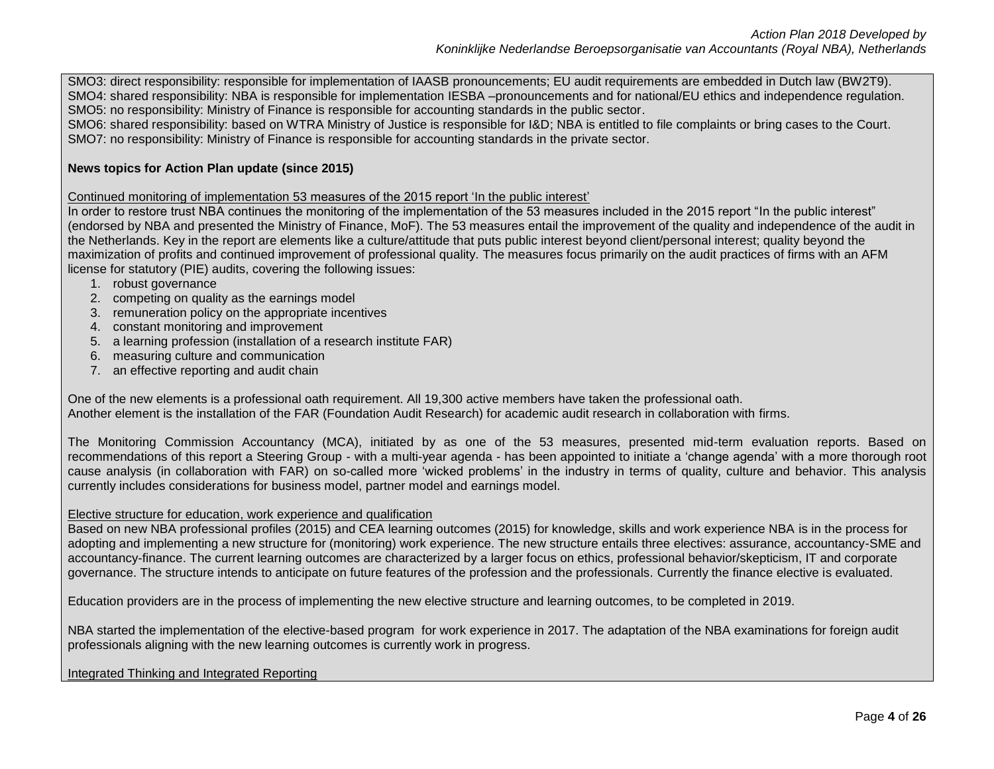SMO3: direct responsibility: responsible for implementation of IAASB pronouncements; EU audit requirements are embedded in Dutch law (BW2T9). SMO4: shared responsibility: NBA is responsible for implementation IESBA –pronouncements and for national/EU ethics and independence regulation. SMO5: no responsibility: Ministry of Finance is responsible for accounting standards in the public sector.

SMO6: shared responsibility: based on WTRA Ministry of Justice is responsible for I&D; NBA is entitled to file complaints or bring cases to the Court. SMO7: no responsibility: Ministry of Finance is responsible for accounting standards in the private sector.

## **News topics for Action Plan update (since 2015)**

Continued monitoring of implementation 53 measures of the 2015 report 'In the public interest'

In order to restore trust NBA continues the monitoring of the implementation of the 53 measures included in the 2015 report "In the public interest" (endorsed by NBA and presented the Ministry of Finance, MoF). The 53 measures entail the improvement of the quality and independence of the audit in the Netherlands. Key in the report are elements like a culture/attitude that puts public interest beyond client/personal interest; quality beyond the maximization of profits and continued improvement of professional quality. The measures focus primarily on the audit practices of firms with an AFM license for statutory (PIE) audits, covering the following issues:

- 1. robust governance
- 2. competing on quality as the earnings model
- 3. remuneration policy on the appropriate incentives
- 4. constant monitoring and improvement
- 5. a learning profession (installation of a research institute FAR)
- 6. measuring culture and communication
- 7. an effective reporting and audit chain

One of the new elements is a professional oath requirement. All 19,300 active members have taken the professional oath. Another element is the installation of the FAR (Foundation Audit Research) for academic audit research in collaboration with firms.

The Monitoring Commission Accountancy (MCA), initiated by as one of the 53 measures, presented mid-term evaluation reports. Based on recommendations of this report a Steering Group - with a multi-year agenda - has been appointed to initiate a 'change agenda' with a more thorough root cause analysis (in collaboration with FAR) on so-called more 'wicked problems' in the industry in terms of quality, culture and behavior. This analysis currently includes considerations for business model, partner model and earnings model.

### Elective structure for education, work experience and qualification

Based on new NBA professional profiles (2015) and CEA learning outcomes (2015) for knowledge, skills and work experience NBA is in the process for adopting and implementing a new structure for (monitoring) work experience. The new structure entails three electives: assurance, accountancy-SME and accountancy-finance. The current learning outcomes are characterized by a larger focus on ethics, professional behavior/skepticism, IT and corporate governance. The structure intends to anticipate on future features of the profession and the professionals. Currently the finance elective is evaluated.

Education providers are in the process of implementing the new elective structure and learning outcomes, to be completed in 2019.

NBA started the implementation of the elective-based program for work experience in 2017. The adaptation of the NBA examinations for foreign audit professionals aligning with the new learning outcomes is currently work in progress.

## Integrated Thinking and Integrated Reporting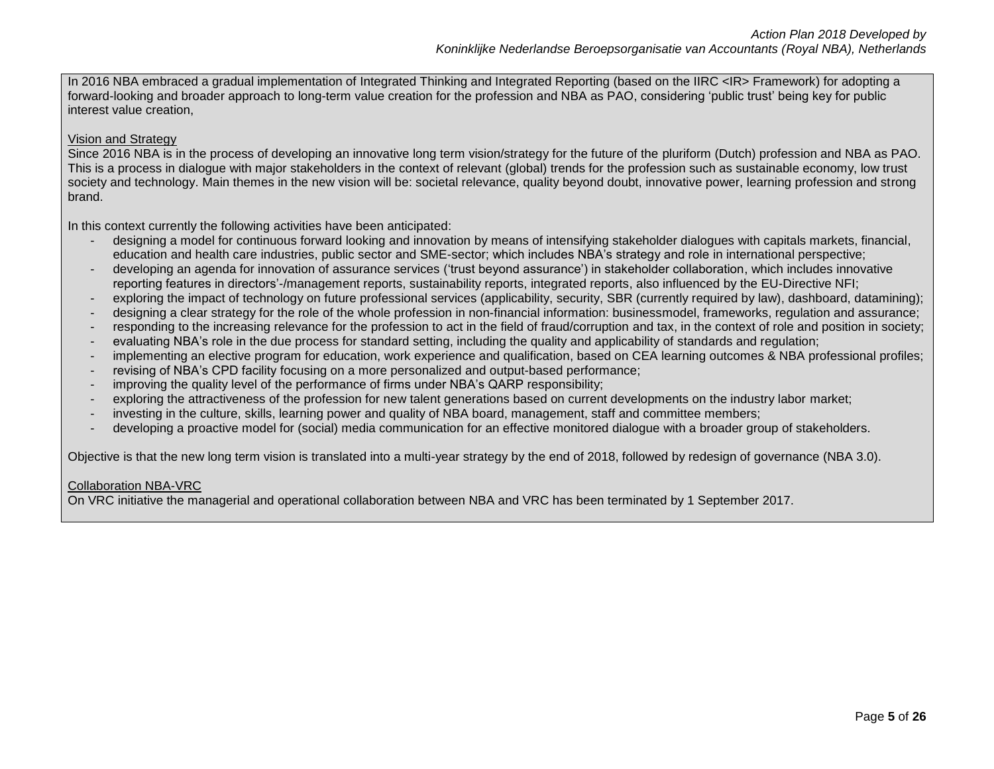In 2016 NBA embraced a gradual implementation of Integrated Thinking and Integrated Reporting (based on the IIRC <IR> Framework) for adopting a forward-looking and broader approach to long-term value creation for the profession and NBA as PAO, considering 'public trust' being key for public interest value creation,

#### Vision and Strategy

Since 2016 NBA is in the process of developing an innovative long term vision/strategy for the future of the pluriform (Dutch) profession and NBA as PAO. This is a process in dialogue with major stakeholders in the context of relevant (global) trends for the profession such as sustainable economy, low trust society and technology. Main themes in the new vision will be: societal relevance, quality beyond doubt, innovative power, learning profession and strong brand.

In this context currently the following activities have been anticipated:

- designing a model for continuous forward looking and innovation by means of intensifying stakeholder dialogues with capitals markets, financial, education and health care industries, public sector and SME-sector; which includes NBA's strategy and role in international perspective;
- developing an agenda for innovation of assurance services ('trust beyond assurance') in stakeholder collaboration, which includes innovative reporting features in directors'-/management reports, sustainability reports, integrated reports, also influenced by the EU-Directive NFI;
- exploring the impact of technology on future professional services (applicability, security, SBR (currently required by law), dashboard, datamining);
- designing a clear strategy for the role of the whole profession in non-financial information: businessmodel, frameworks, regulation and assurance;
- responding to the increasing relevance for the profession to act in the field of fraud/corruption and tax, in the context of role and position in society;
- evaluating NBA's role in the due process for standard setting, including the quality and applicability of standards and regulation;
- implementing an elective program for education, work experience and qualification, based on CEA learning outcomes & NBA professional profiles;
- revising of NBA's CPD facility focusing on a more personalized and output-based performance;
- improving the quality level of the performance of firms under NBA's QARP responsibility;
- exploring the attractiveness of the profession for new talent generations based on current developments on the industry labor market;
- investing in the culture, skills, learning power and quality of NBA board, management, staff and committee members;
- developing a proactive model for (social) media communication for an effective monitored dialogue with a broader group of stakeholders.

Objective is that the new long term vision is translated into a multi-year strategy by the end of 2018, followed by redesign of governance (NBA 3.0).

#### Collaboration NBA-VRC

On VRC initiative the managerial and operational collaboration between NBA and VRC has been terminated by 1 September 2017.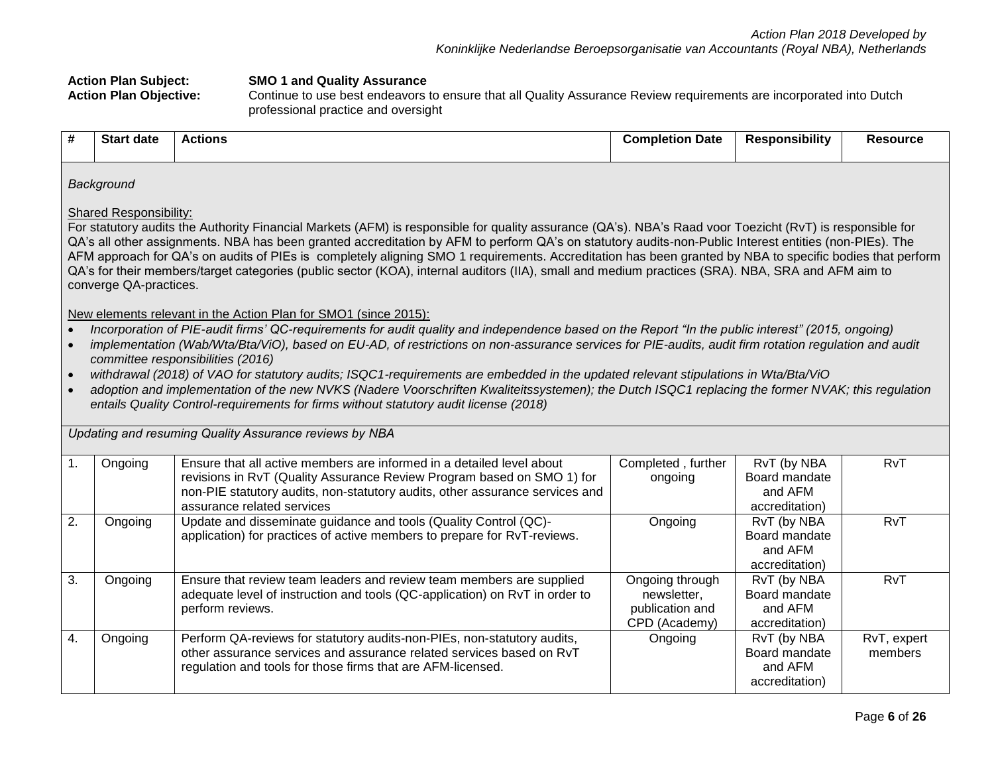| <b>Action Plan Subject:</b><br><b>Action Plan Objective:</b> |                                                         |                  | <b>SMO 1 and Quality Assurance</b><br>Continue to use best endeavors to ensure that all Quality Assurance Review requirements are incorporated into Dutch<br>professional practice and oversight                                                                                                                                                                                                                                                                                                                                                                                                                                                                                                                                                                                                                           |                                                                    |                                                           |                        |  |  |
|--------------------------------------------------------------|---------------------------------------------------------|------------------|----------------------------------------------------------------------------------------------------------------------------------------------------------------------------------------------------------------------------------------------------------------------------------------------------------------------------------------------------------------------------------------------------------------------------------------------------------------------------------------------------------------------------------------------------------------------------------------------------------------------------------------------------------------------------------------------------------------------------------------------------------------------------------------------------------------------------|--------------------------------------------------------------------|-----------------------------------------------------------|------------------------|--|--|
| #                                                            | <b>Start date</b>                                       | <b>Actions</b>   |                                                                                                                                                                                                                                                                                                                                                                                                                                                                                                                                                                                                                                                                                                                                                                                                                            | <b>Completion Date</b>                                             | <b>Responsibility</b>                                     | <b>Resource</b>        |  |  |
|                                                              | Background                                              |                  |                                                                                                                                                                                                                                                                                                                                                                                                                                                                                                                                                                                                                                                                                                                                                                                                                            |                                                                    |                                                           |                        |  |  |
|                                                              | <b>Shared Responsibility:</b><br>converge QA-practices. |                  | For statutory audits the Authority Financial Markets (AFM) is responsible for quality assurance (QA's). NBA's Raad voor Toezicht (RvT) is responsible for<br>QA's all other assignments. NBA has been granted accreditation by AFM to perform QA's on statutory audits-non-Public Interest entities (non-PIEs). The<br>AFM approach for QA's on audits of PIEs is completely aligning SMO 1 requirements. Accreditation has been granted by NBA to specific bodies that perform<br>QA's for their members/target categories (public sector (KOA), internal auditors (IIA), small and medium practices (SRA). NBA, SRA and AFM aim to                                                                                                                                                                                       |                                                                    |                                                           |                        |  |  |
|                                                              | committee responsibilities (2016)                       |                  | New elements relevant in the Action Plan for SMO1 (since 2015):<br>Incorporation of PIE-audit firms' QC-requirements for audit quality and independence based on the Report "In the public interest" (2015, ongoing)<br>implementation (Wab/Wta/Bta/ViO), based on EU-AD, of restrictions on non-assurance services for PIE-audits, audit firm rotation regulation and audit<br>withdrawal (2018) of VAO for statutory audits; ISQC1-requirements are embedded in the updated relevant stipulations in Wta/Bta/ViO<br>adoption and implementation of the new NVKS (Nadere Voorschriften Kwaliteitssystemen); the Dutch ISQC1 replacing the former NVAK; this regulation<br>entails Quality Control-requirements for firms without statutory audit license (2018)<br>Updating and resuming Quality Assurance reviews by NBA |                                                                    |                                                           |                        |  |  |
| 1.                                                           | Ongoing                                                 |                  | Ensure that all active members are informed in a detailed level about<br>revisions in RvT (Quality Assurance Review Program based on SMO 1) for<br>non-PIE statutory audits, non-statutory audits, other assurance services and<br>assurance related services                                                                                                                                                                                                                                                                                                                                                                                                                                                                                                                                                              | Completed, further<br>ongoing                                      | RvT (by NBA<br>Board mandate<br>and AFM<br>accreditation) | RvT                    |  |  |
| 2.                                                           | Ongoing                                                 |                  | Update and disseminate guidance and tools (Quality Control (QC)-<br>application) for practices of active members to prepare for RvT-reviews.                                                                                                                                                                                                                                                                                                                                                                                                                                                                                                                                                                                                                                                                               | Ongoing                                                            | RvT (by NBA<br>Board mandate<br>and AFM<br>accreditation) | RvT                    |  |  |
| 3.                                                           | Ongoing                                                 | perform reviews. | Ensure that review team leaders and review team members are supplied<br>adequate level of instruction and tools (QC-application) on RvT in order to                                                                                                                                                                                                                                                                                                                                                                                                                                                                                                                                                                                                                                                                        | Ongoing through<br>newsletter,<br>publication and<br>CPD (Academy) | RvT (by NBA<br>Board mandate<br>and AFM<br>accreditation) | RvT                    |  |  |
| 4.                                                           | Ongoing                                                 |                  | Perform QA-reviews for statutory audits-non-PIEs, non-statutory audits,<br>other assurance services and assurance related services based on RvT<br>regulation and tools for those firms that are AFM-licensed.                                                                                                                                                                                                                                                                                                                                                                                                                                                                                                                                                                                                             | Ongoing                                                            | RvT (by NBA<br>Board mandate<br>and AFM<br>accreditation) | RvT, expert<br>members |  |  |
|                                                              |                                                         |                  |                                                                                                                                                                                                                                                                                                                                                                                                                                                                                                                                                                                                                                                                                                                                                                                                                            |                                                                    |                                                           | Page 6 of 26           |  |  |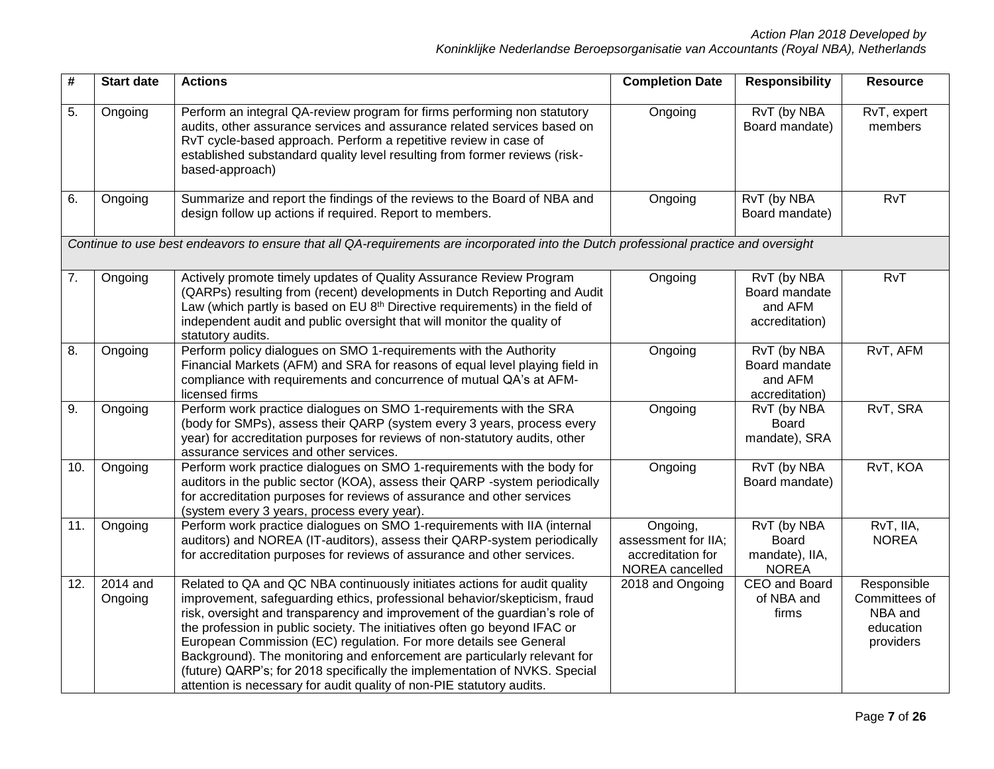| #   | <b>Start date</b>     | <b>Actions</b>                                                                                                                                                                                                                                                                                                                                                                                                                                                                                                                                                                                                             | <b>Completion Date</b>                                                  | <b>Responsibility</b>                                         | <b>Resource</b>                                                   |
|-----|-----------------------|----------------------------------------------------------------------------------------------------------------------------------------------------------------------------------------------------------------------------------------------------------------------------------------------------------------------------------------------------------------------------------------------------------------------------------------------------------------------------------------------------------------------------------------------------------------------------------------------------------------------------|-------------------------------------------------------------------------|---------------------------------------------------------------|-------------------------------------------------------------------|
| 5.  | Ongoing               | Perform an integral QA-review program for firms performing non statutory<br>audits, other assurance services and assurance related services based on<br>RvT cycle-based approach. Perform a repetitive review in case of<br>established substandard quality level resulting from former reviews (risk-<br>based-approach)                                                                                                                                                                                                                                                                                                  | Ongoing                                                                 | RvT (by NBA<br>Board mandate)                                 | RvT, expert<br>members                                            |
| 6.  | Ongoing               | Summarize and report the findings of the reviews to the Board of NBA and<br>design follow up actions if required. Report to members.                                                                                                                                                                                                                                                                                                                                                                                                                                                                                       | Ongoing                                                                 | RvT (by NBA<br>Board mandate)                                 | RvT                                                               |
|     |                       | Continue to use best endeavors to ensure that all QA-requirements are incorporated into the Dutch professional practice and oversight                                                                                                                                                                                                                                                                                                                                                                                                                                                                                      |                                                                         |                                                               |                                                                   |
| 7.  | Ongoing               | Actively promote timely updates of Quality Assurance Review Program<br>(QARPs) resulting from (recent) developments in Dutch Reporting and Audit<br>Law (which partly is based on EU 8 <sup>th</sup> Directive requirements) in the field of<br>independent audit and public oversight that will monitor the quality of<br>statutory audits.                                                                                                                                                                                                                                                                               | Ongoing                                                                 | RvT (by NBA<br>Board mandate<br>and AFM<br>accreditation)     | RvT                                                               |
| 8.  | Ongoing               | Perform policy dialogues on SMO 1-requirements with the Authority<br>Financial Markets (AFM) and SRA for reasons of equal level playing field in<br>compliance with requirements and concurrence of mutual QA's at AFM-<br>licensed firms                                                                                                                                                                                                                                                                                                                                                                                  | Ongoing                                                                 | RvT (by NBA<br>Board mandate<br>and AFM<br>accreditation)     | RvT, AFM                                                          |
| 9.  | Ongoing               | Perform work practice dialogues on SMO 1-requirements with the SRA<br>(body for SMPs), assess their QARP (system every 3 years, process every<br>year) for accreditation purposes for reviews of non-statutory audits, other<br>assurance services and other services.                                                                                                                                                                                                                                                                                                                                                     | Ongoing                                                                 | RvT (by NBA<br><b>Board</b><br>mandate), SRA                  | RvT, SRA                                                          |
| 10. | Ongoing               | Perform work practice dialogues on SMO 1-requirements with the body for<br>auditors in the public sector (KOA), assess their QARP -system periodically<br>for accreditation purposes for reviews of assurance and other services<br>(system every 3 years, process every year).                                                                                                                                                                                                                                                                                                                                            | Ongoing                                                                 | RvT (by NBA<br>Board mandate)                                 | RvT, KOA                                                          |
| 11. | Ongoing               | Perform work practice dialogues on SMO 1-requirements with IIA (internal<br>auditors) and NOREA (IT-auditors), assess their QARP-system periodically<br>for accreditation purposes for reviews of assurance and other services.                                                                                                                                                                                                                                                                                                                                                                                            | Ongoing,<br>assessment for IIA;<br>accreditation for<br>NOREA cancelled | RvT (by NBA<br><b>Board</b><br>mandate), IIA,<br><b>NOREA</b> | RvT, IIA,<br><b>NOREA</b>                                         |
| 12. | $2014$ and<br>Ongoing | Related to QA and QC NBA continuously initiates actions for audit quality<br>improvement, safeguarding ethics, professional behavior/skepticism, fraud<br>risk, oversight and transparency and improvement of the guardian's role of<br>the profession in public society. The initiatives often go beyond IFAC or<br>European Commission (EC) regulation. For more details see General<br>Background). The monitoring and enforcement are particularly relevant for<br>(future) QARP's; for 2018 specifically the implementation of NVKS. Special<br>attention is necessary for audit quality of non-PIE statutory audits. | 2018 and Ongoing                                                        | CEO and Board<br>of NBA and<br>firms                          | Responsible<br>Committees of<br>NBA and<br>education<br>providers |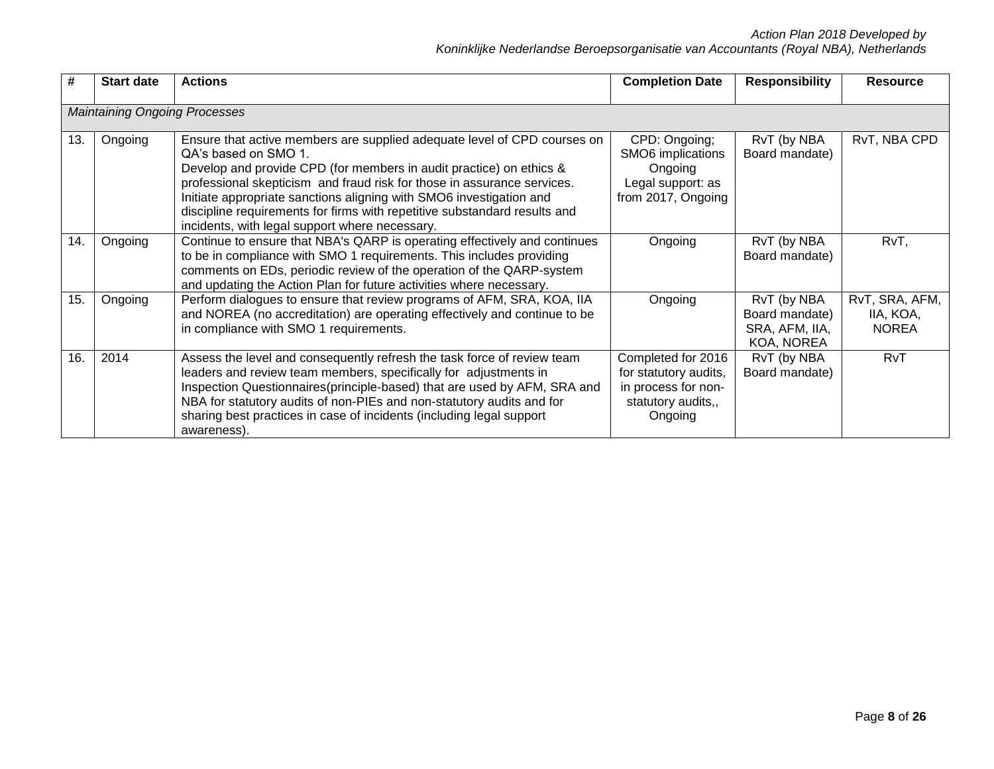| #   | <b>Start date</b>                    | <b>Actions</b>                                                                                                                                                                                                                                                                                                                                                                                                                                           | <b>Completion Date</b>                                                                              | <b>Responsibility</b>                                         | <b>Resource</b>                             |
|-----|--------------------------------------|----------------------------------------------------------------------------------------------------------------------------------------------------------------------------------------------------------------------------------------------------------------------------------------------------------------------------------------------------------------------------------------------------------------------------------------------------------|-----------------------------------------------------------------------------------------------------|---------------------------------------------------------------|---------------------------------------------|
|     | <b>Maintaining Ongoing Processes</b> |                                                                                                                                                                                                                                                                                                                                                                                                                                                          |                                                                                                     |                                                               |                                             |
| 13. | Ongoing                              | Ensure that active members are supplied adequate level of CPD courses on<br>QA's based on SMO 1.<br>Develop and provide CPD (for members in audit practice) on ethics &<br>professional skepticism and fraud risk for those in assurance services.<br>Initiate appropriate sanctions aligning with SMO6 investigation and<br>discipline requirements for firms with repetitive substandard results and<br>incidents, with legal support where necessary. | CPD: Ongoing;<br>SMO6 implications<br>Ongoing<br>Legal support: as<br>from 2017, Ongoing            | RvT (by NBA<br>Board mandate)                                 | RvT, NBA CPD                                |
| 14. | Ongoing                              | Continue to ensure that NBA's QARP is operating effectively and continues<br>to be in compliance with SMO 1 requirements. This includes providing<br>comments on EDs, periodic review of the operation of the QARP-system<br>and updating the Action Plan for future activities where necessary.                                                                                                                                                         | Ongoing                                                                                             | RvT (by NBA<br>Board mandate)                                 | RvT,                                        |
| 15. | Ongoing                              | Perform dialogues to ensure that review programs of AFM, SRA, KOA, IIA<br>and NOREA (no accreditation) are operating effectively and continue to be<br>in compliance with SMO 1 requirements.                                                                                                                                                                                                                                                            | Ongoing                                                                                             | RvT (by NBA<br>Board mandate)<br>SRA, AFM, IIA,<br>KOA, NOREA | RvT, SRA, AFM,<br>IIA, KOA,<br><b>NOREA</b> |
| 16. | 2014                                 | Assess the level and consequently refresh the task force of review team<br>leaders and review team members, specifically for adjustments in<br>Inspection Questionnaires (principle-based) that are used by AFM, SRA and<br>NBA for statutory audits of non-PIEs and non-statutory audits and for<br>sharing best practices in case of incidents (including legal support<br>awareness).                                                                 | Completed for 2016<br>for statutory audits,<br>in process for non-<br>statutory audits,,<br>Ongoing | RvT (by NBA<br>Board mandate)                                 | RvT                                         |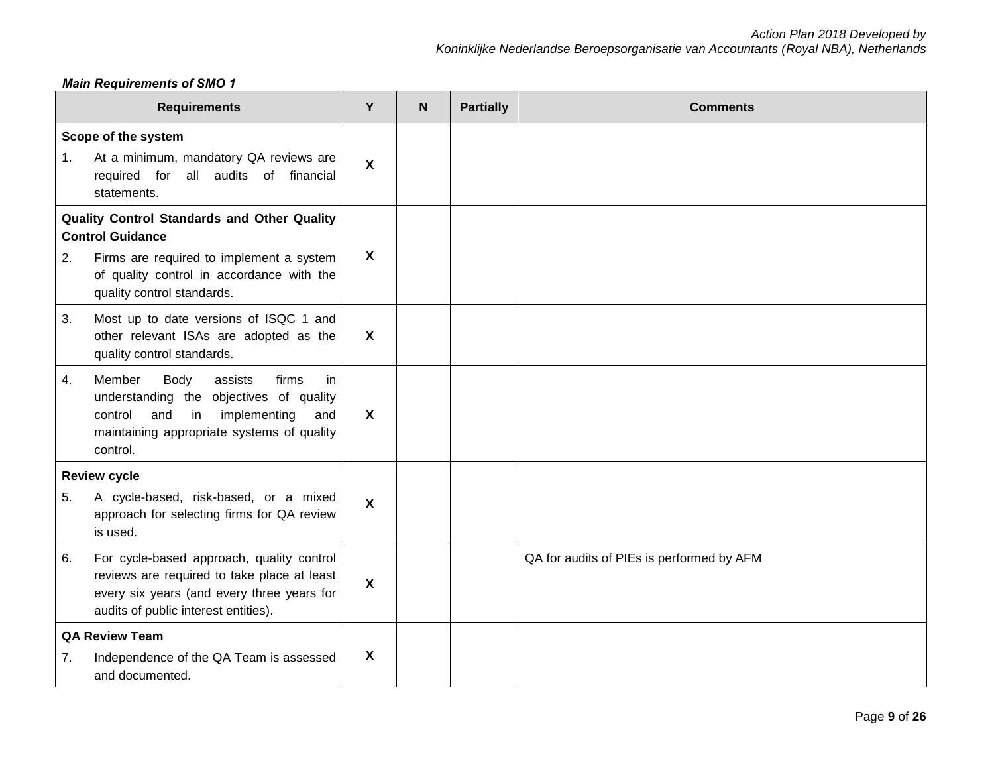## *Main Requirements of SMO 1*

|                                                                                                                                                                                                     | <b>Requirements</b>                                                                                                                                                                          | Y                         | <b>N</b> | <b>Partially</b> | <b>Comments</b>                           |
|-----------------------------------------------------------------------------------------------------------------------------------------------------------------------------------------------------|----------------------------------------------------------------------------------------------------------------------------------------------------------------------------------------------|---------------------------|----------|------------------|-------------------------------------------|
| 1.                                                                                                                                                                                                  | Scope of the system<br>At a minimum, mandatory QA reviews are<br>required for all audits of financial<br>statements.                                                                         | $\boldsymbol{\mathsf{X}}$ |          |                  |                                           |
| Quality Control Standards and Other Quality<br><b>Control Guidance</b><br>2.<br>Firms are required to implement a system<br>of quality control in accordance with the<br>quality control standards. |                                                                                                                                                                                              | $\boldsymbol{\mathsf{X}}$ |          |                  |                                           |
| 3.                                                                                                                                                                                                  | Most up to date versions of ISQC 1 and<br>other relevant ISAs are adopted as the<br>quality control standards.                                                                               | $\boldsymbol{X}$          |          |                  |                                           |
| 4.                                                                                                                                                                                                  | Member<br>Body<br>assists<br>firms<br>in<br>understanding the objectives of quality<br>control<br>and<br>in<br>implementing<br>and<br>maintaining appropriate systems of quality<br>control. | $\mathbf{x}$              |          |                  |                                           |
| 5.                                                                                                                                                                                                  | <b>Review cycle</b><br>A cycle-based, risk-based, or a mixed<br>approach for selecting firms for QA review<br>is used.                                                                       | X                         |          |                  |                                           |
| 6.                                                                                                                                                                                                  | For cycle-based approach, quality control<br>reviews are required to take place at least<br>every six years (and every three years for<br>audits of public interest entities).               | $\boldsymbol{X}$          |          |                  | QA for audits of PIEs is performed by AFM |
| 7.                                                                                                                                                                                                  | <b>QA Review Team</b><br>Independence of the QA Team is assessed<br>and documented.                                                                                                          | X                         |          |                  |                                           |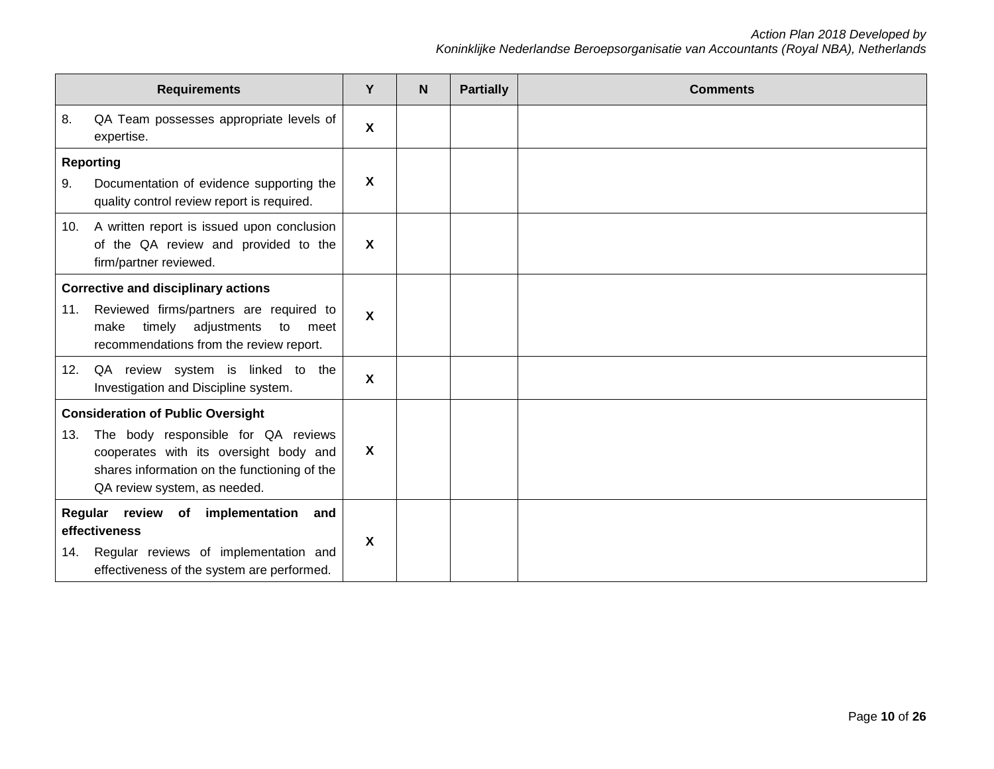|     | <b>Requirements</b>                                                                                                                                           | Y                         | N | <b>Partially</b> | <b>Comments</b> |
|-----|---------------------------------------------------------------------------------------------------------------------------------------------------------------|---------------------------|---|------------------|-----------------|
| 8.  | QA Team possesses appropriate levels of<br>expertise.                                                                                                         | X                         |   |                  |                 |
| 9.  | <b>Reporting</b><br>Documentation of evidence supporting the<br>quality control review report is required.                                                    | X                         |   |                  |                 |
| 10. | A written report is issued upon conclusion<br>of the QA review and provided to the<br>firm/partner reviewed.                                                  | $\boldsymbol{\mathsf{X}}$ |   |                  |                 |
|     | <b>Corrective and disciplinary actions</b>                                                                                                                    |                           |   |                  |                 |
| 11. | Reviewed firms/partners are required to<br>adjustments<br>make<br>timely<br>to<br>meet<br>recommendations from the review report.                             | X                         |   |                  |                 |
|     | 12. QA review system is linked to the<br>Investigation and Discipline system.                                                                                 | X                         |   |                  |                 |
|     | <b>Consideration of Public Oversight</b>                                                                                                                      |                           |   |                  |                 |
| 13. | The body responsible for QA reviews<br>cooperates with its oversight body and<br>shares information on the functioning of the<br>QA review system, as needed. | X                         |   |                  |                 |
| 14. | Regular review of implementation<br>and<br>effectiveness<br>Regular reviews of implementation and<br>effectiveness of the system are performed.               | X                         |   |                  |                 |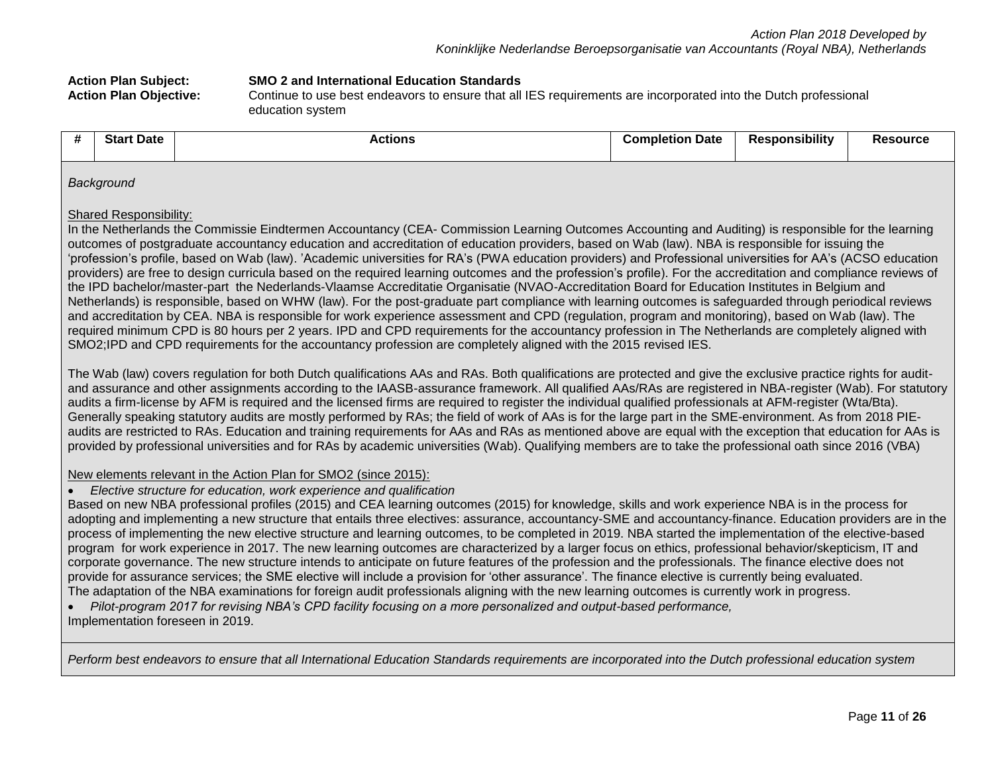| <b>Action Plan Subject:</b>   | <b>SMO 2 and International Education Standards</b>                                                              |
|-------------------------------|-----------------------------------------------------------------------------------------------------------------|
| <b>Action Plan Objective:</b> | Continue to use best endeavors to ensure that all IES requirements are incorporated into the Dutch professional |
|                               | education system                                                                                                |

| - 77 | <b>Start Date</b> | <b>Actions</b> | <b>Completion Date</b> | <b>Responsibility</b> | <b>Resource</b> |
|------|-------------------|----------------|------------------------|-----------------------|-----------------|
|      | Background        |                |                        |                       |                 |

#### Shared Responsibility:

In the Netherlands the Commissie Eindtermen Accountancy (CEA- Commission Learning Outcomes Accounting and Auditing) is responsible for the learning outcomes of postgraduate accountancy education and accreditation of education providers, based on Wab (law). NBA is responsible for issuing the 'profession's profile, based on Wab (law). 'Academic universities for RA's (PWA education providers) and Professional universities for AA's (ACSO education providers) are free to design curricula based on the required learning outcomes and the profession's profile). For the accreditation and compliance reviews of the IPD bachelor/master-part the Nederlands-Vlaamse Accreditatie Organisatie (NVAO-Accreditation Board for Education Institutes in Belgium and Netherlands) is responsible, based on WHW (law). For the post-graduate part compliance with learning outcomes is safeguarded through periodical reviews and accreditation by CEA. NBA is responsible for work experience assessment and CPD (regulation, program and monitoring), based on Wab (law). The required minimum CPD is 80 hours per 2 years. IPD and CPD requirements for the accountancy profession in The Netherlands are completely aligned with SMO2;IPD and CPD requirements for the accountancy profession are completely aligned with the 2015 revised IES.

The Wab (law) covers regulation for both Dutch qualifications AAs and RAs. Both qualifications are protected and give the exclusive practice rights for auditand assurance and other assignments according to the IAASB-assurance framework. All qualified AAs/RAs are registered in NBA-register (Wab). For statutory audits a firm-license by AFM is required and the licensed firms are required to register the individual qualified professionals at AFM-register (Wta/Bta). Generally speaking statutory audits are mostly performed by RAs; the field of work of AAs is for the large part in the SME-environment. As from 2018 PIEaudits are restricted to RAs. Education and training requirements for AAs and RAs as mentioned above are equal with the exception that education for AAs is provided by professional universities and for RAs by academic universities (Wab). Qualifying members are to take the professional oath since 2016 (VBA)

#### New elements relevant in the Action Plan for SMO2 (since 2015):

• *Elective structure for education, work experience and qualification*

Based on new NBA professional profiles (2015) and CEA learning outcomes (2015) for knowledge, skills and work experience NBA is in the process for adopting and implementing a new structure that entails three electives: assurance, accountancy-SME and accountancy-finance. Education providers are in the process of implementing the new elective structure and learning outcomes, to be completed in 2019. NBA started the implementation of the elective-based program for work experience in 2017. The new learning outcomes are characterized by a larger focus on ethics, professional behavior/skepticism, IT and corporate governance. The new structure intends to anticipate on future features of the profession and the professionals. The finance elective does not provide for assurance services; the SME elective will include a provision for 'other assurance'. The finance elective is currently being evaluated. The adaptation of the NBA examinations for foreign audit professionals aligning with the new learning outcomes is currently work in progress.

• *Pilot-program 2017 for revising NBA's CPD facility focusing on a more personalized and output-based performance,*  Implementation foreseen in 2019.

*Perform best endeavors to ensure that all International Education Standards requirements are incorporated into the Dutch professional education system*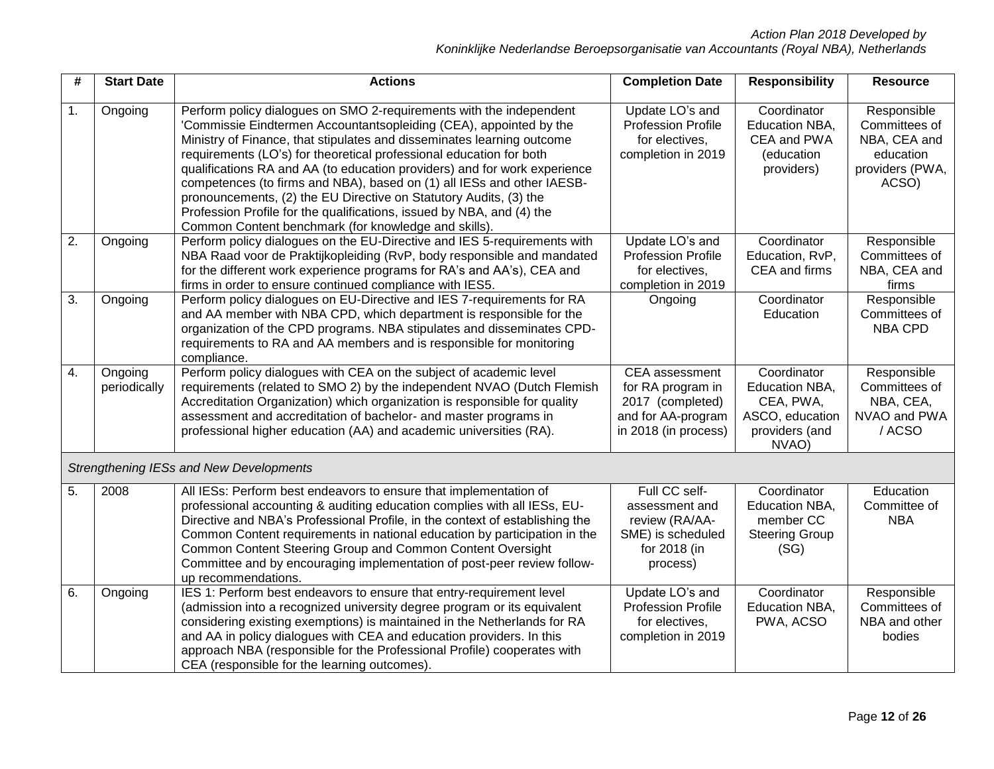| #                | <b>Start Date</b>       | <b>Actions</b>                                                                                                                                                                                                                                                                                                                                                                                                                                                                                                                                                                                                                                          | <b>Completion Date</b>                                                                                | <b>Responsibility</b>                                                                    | <b>Resource</b>                                                                       |
|------------------|-------------------------|---------------------------------------------------------------------------------------------------------------------------------------------------------------------------------------------------------------------------------------------------------------------------------------------------------------------------------------------------------------------------------------------------------------------------------------------------------------------------------------------------------------------------------------------------------------------------------------------------------------------------------------------------------|-------------------------------------------------------------------------------------------------------|------------------------------------------------------------------------------------------|---------------------------------------------------------------------------------------|
| $\mathbf{1}$ .   | Ongoing                 | Perform policy dialogues on SMO 2-requirements with the independent<br>'Commissie Eindtermen Accountantsopleiding (CEA), appointed by the<br>Ministry of Finance, that stipulates and disseminates learning outcome<br>requirements (LO's) for theoretical professional education for both<br>qualifications RA and AA (to education providers) and for work experience<br>competences (to firms and NBA), based on (1) all IESs and other IAESB-<br>pronouncements, (2) the EU Directive on Statutory Audits, (3) the<br>Profession Profile for the qualifications, issued by NBA, and (4) the<br>Common Content benchmark (for knowledge and skills). | Update LO's and<br><b>Profession Profile</b><br>for electives.<br>completion in 2019                  | Coordinator<br>Education NBA,<br>CEA and PWA<br>(education<br>providers)                 | Responsible<br>Committees of<br>NBA, CEA and<br>education<br>providers (PWA,<br>ACSO) |
| $\overline{2}$ . | Ongoing                 | Perform policy dialogues on the EU-Directive and IES 5-requirements with<br>NBA Raad voor de Praktijkopleiding (RvP, body responsible and mandated<br>for the different work experience programs for RA's and AA's), CEA and<br>firms in order to ensure continued compliance with IES5.                                                                                                                                                                                                                                                                                                                                                                | Update LO's and<br><b>Profession Profile</b><br>for electives,<br>completion in 2019                  | Coordinator<br>Education, RvP,<br>CEA and firms                                          | Responsible<br>Committees of<br>NBA, CEA and<br>firms                                 |
| $\overline{3}$ . | Ongoing                 | Perform policy dialogues on EU-Directive and IES 7-requirements for RA<br>and AA member with NBA CPD, which department is responsible for the<br>organization of the CPD programs. NBA stipulates and disseminates CPD-<br>requirements to RA and AA members and is responsible for monitoring<br>compliance.                                                                                                                                                                                                                                                                                                                                           | Ongoing                                                                                               | Coordinator<br>Education                                                                 | Responsible<br>Committees of<br><b>NBA CPD</b>                                        |
| 4.               | Ongoing<br>periodically | Perform policy dialogues with CEA on the subject of academic level<br>requirements (related to SMO 2) by the independent NVAO (Dutch Flemish<br>Accreditation Organization) which organization is responsible for quality<br>assessment and accreditation of bachelor- and master programs in<br>professional higher education (AA) and academic universities (RA).                                                                                                                                                                                                                                                                                     | CEA assessment<br>for RA program in<br>2017 (completed)<br>and for AA-program<br>in 2018 (in process) | Coordinator<br>Education NBA,<br>CEA, PWA,<br>ASCO, education<br>providers (and<br>NVAO) | Responsible<br>Committees of<br>NBA, CEA,<br>NVAO and PWA<br>/ACSO                    |
|                  |                         | Strengthening IESs and New Developments                                                                                                                                                                                                                                                                                                                                                                                                                                                                                                                                                                                                                 |                                                                                                       |                                                                                          |                                                                                       |
| 5.               | 2008                    | All IESs: Perform best endeavors to ensure that implementation of<br>professional accounting & auditing education complies with all IESs, EU-<br>Directive and NBA's Professional Profile, in the context of establishing the<br>Common Content requirements in national education by participation in the<br>Common Content Steering Group and Common Content Oversight<br>Committee and by encouraging implementation of post-peer review follow-<br>up recommendations.                                                                                                                                                                              | Full CC self-<br>assessment and<br>review (RA/AA-<br>SME) is scheduled<br>for 2018 (in<br>process)    | Coordinator<br>Education NBA,<br>member CC<br><b>Steering Group</b><br>(SG)              | Education<br>Committee of<br><b>NBA</b>                                               |
| 6.               | Ongoing                 | IES 1: Perform best endeavors to ensure that entry-requirement level<br>(admission into a recognized university degree program or its equivalent<br>considering existing exemptions) is maintained in the Netherlands for RA<br>and AA in policy dialogues with CEA and education providers. In this<br>approach NBA (responsible for the Professional Profile) cooperates with<br>CEA (responsible for the learning outcomes).                                                                                                                                                                                                                         | Update LO's and<br><b>Profession Profile</b><br>for electives,<br>completion in 2019                  | Coordinator<br>Education NBA,<br>PWA, ACSO                                               | Responsible<br>Committees of<br>NBA and other<br>bodies                               |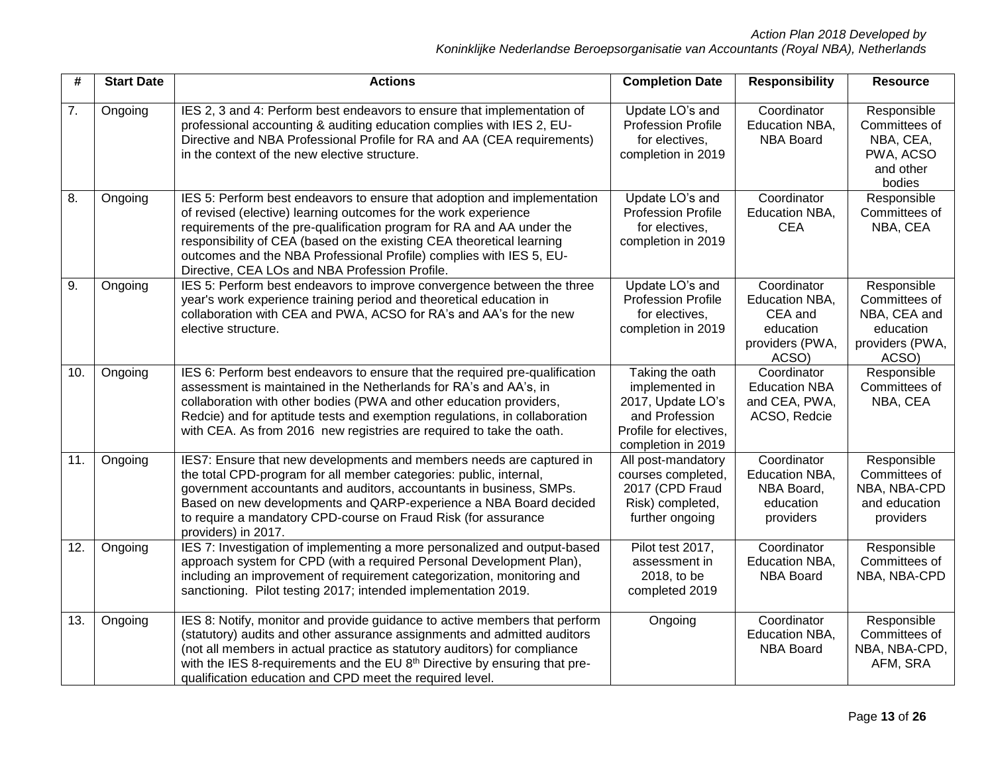| #   | <b>Start Date</b> | <b>Actions</b>                                                                                                                                                                                                                                                                                                                                                                                                         | <b>Completion Date</b>                                                                                                   | <b>Responsibility</b>                                                             | <b>Resource</b>                                                                       |
|-----|-------------------|------------------------------------------------------------------------------------------------------------------------------------------------------------------------------------------------------------------------------------------------------------------------------------------------------------------------------------------------------------------------------------------------------------------------|--------------------------------------------------------------------------------------------------------------------------|-----------------------------------------------------------------------------------|---------------------------------------------------------------------------------------|
| 7.  | Ongoing           | IES 2, 3 and 4: Perform best endeavors to ensure that implementation of<br>professional accounting & auditing education complies with IES 2, EU-<br>Directive and NBA Professional Profile for RA and AA (CEA requirements)<br>in the context of the new elective structure.                                                                                                                                           | Update LO's and<br><b>Profession Profile</b><br>for electives,<br>completion in 2019                                     | Coordinator<br>Education NBA,<br><b>NBA Board</b>                                 | Responsible<br>Committees of<br>NBA, CEA,<br>PWA, ACSO<br>and other<br>bodies         |
| 8.  | Ongoing           | IES 5: Perform best endeavors to ensure that adoption and implementation<br>of revised (elective) learning outcomes for the work experience<br>requirements of the pre-qualification program for RA and AA under the<br>responsibility of CEA (based on the existing CEA theoretical learning<br>outcomes and the NBA Professional Profile) complies with IES 5, EU-<br>Directive, CEA LOs and NBA Profession Profile. | Update LO's and<br><b>Profession Profile</b><br>for electives,<br>completion in 2019                                     | Coordinator<br>Education NBA,<br><b>CEA</b>                                       | Responsible<br>Committees of<br>NBA, CEA                                              |
| 9.  | Ongoing           | IES 5: Perform best endeavors to improve convergence between the three<br>year's work experience training period and theoretical education in<br>collaboration with CEA and PWA, ACSO for RA's and AA's for the new<br>elective structure.                                                                                                                                                                             | Update LO's and<br><b>Profession Profile</b><br>for electives,<br>completion in 2019                                     | Coordinator<br>Education NBA,<br>CEA and<br>education<br>providers (PWA,<br>ACSO) | Responsible<br>Committees of<br>NBA, CEA and<br>education<br>providers (PWA,<br>ACSO) |
| 10. | Ongoing           | IES 6: Perform best endeavors to ensure that the required pre-qualification<br>assessment is maintained in the Netherlands for RA's and AA's, in<br>collaboration with other bodies (PWA and other education providers,<br>Redcie) and for aptitude tests and exemption regulations, in collaboration<br>with CEA. As from 2016 new registries are required to take the oath.                                          | Taking the oath<br>implemented in<br>2017, Update LO's<br>and Profession<br>Profile for electives,<br>completion in 2019 | Coordinator<br><b>Education NBA</b><br>and CEA, PWA,<br>ACSO, Redcie              | Responsible<br>Committees of<br>NBA, CEA                                              |
| 11. | Ongoing           | IES7: Ensure that new developments and members needs are captured in<br>the total CPD-program for all member categories: public, internal,<br>government accountants and auditors, accountants in business, SMPs.<br>Based on new developments and QARP-experience a NBA Board decided<br>to require a mandatory CPD-course on Fraud Risk (for assurance<br>providers) in 2017.                                        | All post-mandatory<br>courses completed,<br>2017 (CPD Fraud<br>Risk) completed,<br>further ongoing                       | Coordinator<br>Education NBA,<br>NBA Board,<br>education<br>providers             | Responsible<br>Committees of<br>NBA, NBA-CPD<br>and education<br>providers            |
| 12. | Ongoing           | IES 7: Investigation of implementing a more personalized and output-based<br>approach system for CPD (with a required Personal Development Plan),<br>including an improvement of requirement categorization, monitoring and<br>sanctioning. Pilot testing 2017; intended implementation 2019.                                                                                                                          | Pilot test 2017,<br>assessment in<br>2018, to be<br>completed 2019                                                       | Coordinator<br>Education NBA,<br><b>NBA Board</b>                                 | Responsible<br>Committees of<br>NBA, NBA-CPD                                          |
| 13. | Ongoing           | IES 8: Notify, monitor and provide guidance to active members that perform<br>(statutory) audits and other assurance assignments and admitted auditors<br>(not all members in actual practice as statutory auditors) for compliance<br>with the IES 8-requirements and the EU 8th Directive by ensuring that pre-<br>qualification education and CPD meet the required level.                                          | Ongoing                                                                                                                  | Coordinator<br>Education NBA,<br><b>NBA Board</b>                                 | Responsible<br>Committees of<br>NBA, NBA-CPD,<br>AFM, SRA                             |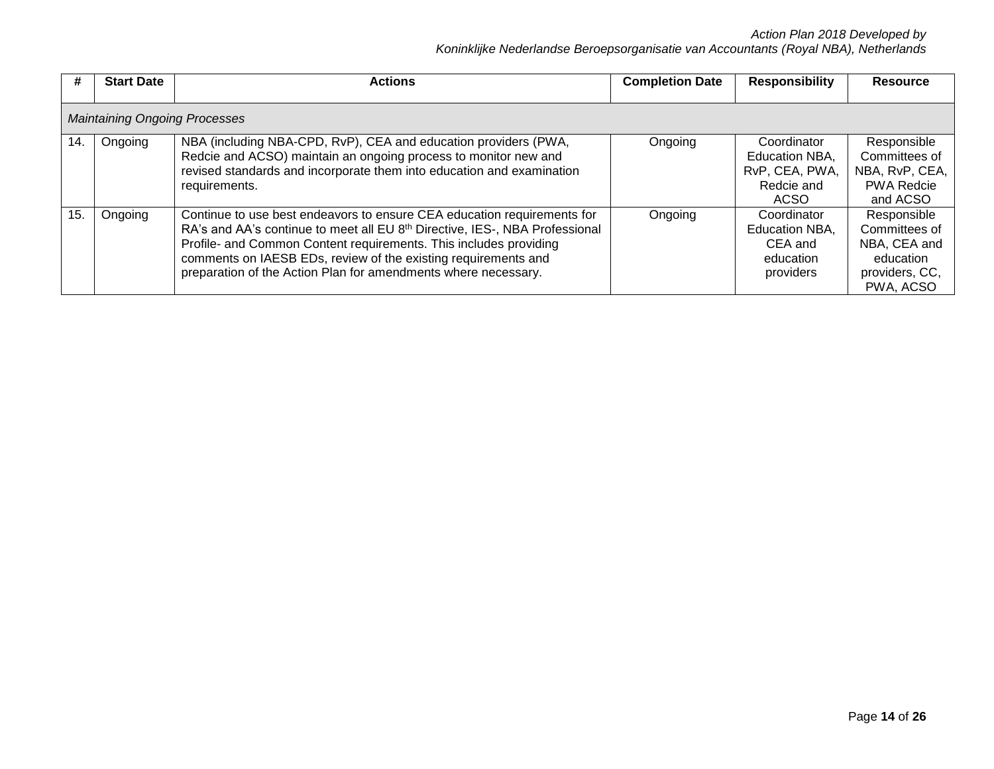| #   | <b>Start Date</b>                    | <b>Actions</b>                                                                                                                                                                                                                                                                                                                                                              | <b>Completion Date</b> | <b>Responsibility</b>                                                 | <b>Resource</b>                                                                          |  |  |  |
|-----|--------------------------------------|-----------------------------------------------------------------------------------------------------------------------------------------------------------------------------------------------------------------------------------------------------------------------------------------------------------------------------------------------------------------------------|------------------------|-----------------------------------------------------------------------|------------------------------------------------------------------------------------------|--|--|--|
|     | <b>Maintaining Ongoing Processes</b> |                                                                                                                                                                                                                                                                                                                                                                             |                        |                                                                       |                                                                                          |  |  |  |
| 14. | Ongoing                              | NBA (including NBA-CPD, RvP), CEA and education providers (PWA,<br>Redcie and ACSO) maintain an ongoing process to monitor new and<br>revised standards and incorporate them into education and examination<br>requirements.                                                                                                                                                | Ongoing                | Coordinator<br>Education NBA,<br>RvP, CEA, PWA,<br>Redcie and<br>ACSO | Responsible<br>Committees of<br>NBA, RvP, CEA,<br><b>PWA Redcie</b><br>and ACSO          |  |  |  |
| 15  | Ongoing                              | Continue to use best endeavors to ensure CEA education requirements for<br>RA's and AA's continue to meet all EU 8 <sup>th</sup> Directive, IES-, NBA Professional<br>Profile- and Common Content requirements. This includes providing<br>comments on IAESB EDs, review of the existing requirements and<br>preparation of the Action Plan for amendments where necessary. | Ongoing                | Coordinator<br>Education NBA,<br>CEA and<br>education<br>providers    | Responsible<br>Committees of<br>NBA, CEA and<br>education<br>providers, CC,<br>PWA, ACSO |  |  |  |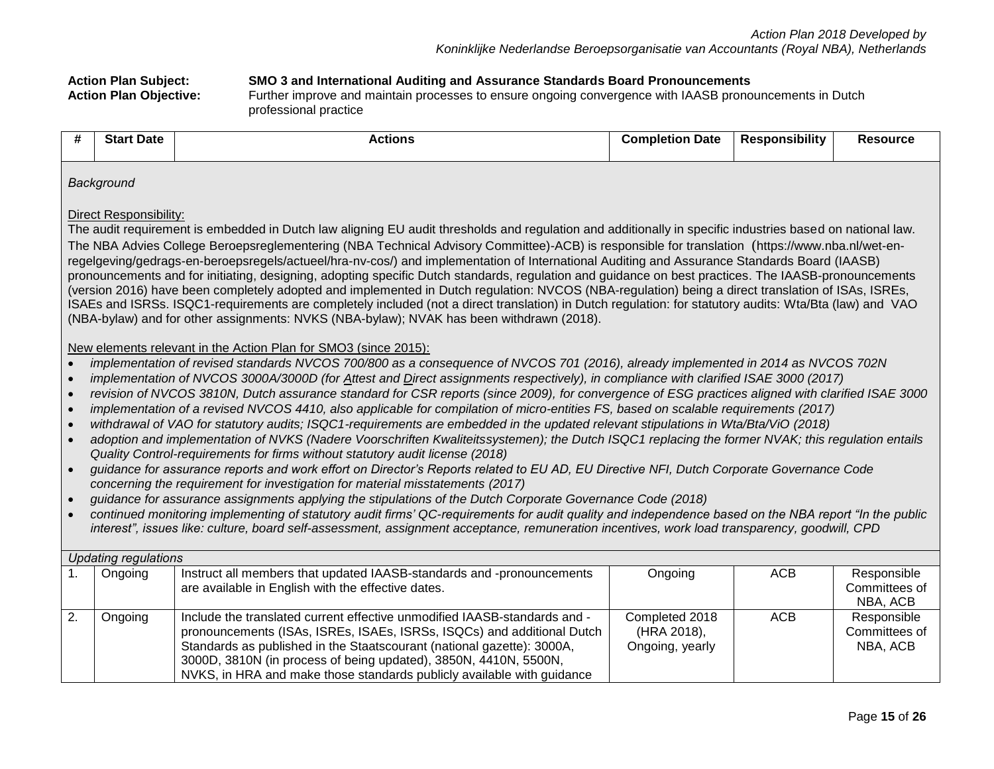#### **Action Plan Subject: SMO 3 and International Auditing and Assurance Standards Board Pronouncements** Further improve and maintain processes to ensure ongoing convergence with IAASB pronouncements in Dutch professional practice

| #                                                                                                                                                                                                                                                                                                                                                                                                                    | <b>Start Date</b>                                                                                                                                                                                                                                                                                                                                                                                                                                                                                                                                                                                                                                                                                                                                                                                                                                                                                                                                                                                                                                                                                                                                                                                                                                                                                                                                                                                                                                                                                                                                                                                                                                                                                                                                                                                                                                                                                                                                                                                                                                                                                                                                                                                                                                                                                                                     | <b>Actions</b>                                                                                                                                                                                                                                                                                                                                                              | <b>Completion Date</b>                           | <b>Responsibility</b> | <b>Resource</b>                          |  |  |
|----------------------------------------------------------------------------------------------------------------------------------------------------------------------------------------------------------------------------------------------------------------------------------------------------------------------------------------------------------------------------------------------------------------------|---------------------------------------------------------------------------------------------------------------------------------------------------------------------------------------------------------------------------------------------------------------------------------------------------------------------------------------------------------------------------------------------------------------------------------------------------------------------------------------------------------------------------------------------------------------------------------------------------------------------------------------------------------------------------------------------------------------------------------------------------------------------------------------------------------------------------------------------------------------------------------------------------------------------------------------------------------------------------------------------------------------------------------------------------------------------------------------------------------------------------------------------------------------------------------------------------------------------------------------------------------------------------------------------------------------------------------------------------------------------------------------------------------------------------------------------------------------------------------------------------------------------------------------------------------------------------------------------------------------------------------------------------------------------------------------------------------------------------------------------------------------------------------------------------------------------------------------------------------------------------------------------------------------------------------------------------------------------------------------------------------------------------------------------------------------------------------------------------------------------------------------------------------------------------------------------------------------------------------------------------------------------------------------------------------------------------------------|-----------------------------------------------------------------------------------------------------------------------------------------------------------------------------------------------------------------------------------------------------------------------------------------------------------------------------------------------------------------------------|--------------------------------------------------|-----------------------|------------------------------------------|--|--|
| $\bullet$<br>$\bullet$<br>$\bullet$                                                                                                                                                                                                                                                                                                                                                                                  | Background<br><b>Direct Responsibility:</b><br>The audit requirement is embedded in Dutch law aligning EU audit thresholds and regulation and additionally in specific industries based on national law.<br>The NBA Advies College Beroepsreglementering (NBA Technical Advisory Committee)-ACB) is responsible for translation (https://www.nba.nl/wet-en-<br>regelgeving/gedrags-en-beroepsregels/actueel/hra-nv-cos/) and implementation of International Auditing and Assurance Standards Board (IAASB)<br>pronouncements and for initiating, designing, adopting specific Dutch standards, regulation and guidance on best practices. The IAASB-pronouncements<br>(version 2016) have been completely adopted and implemented in Dutch regulation: NVCOS (NBA-regulation) being a direct translation of ISAs, ISREs,<br>ISAEs and ISRSs. ISQC1-requirements are completely included (not a direct translation) in Dutch regulation: for statutory audits: Wta/Bta (law) and VAO<br>(NBA-bylaw) and for other assignments: NVKS (NBA-bylaw); NVAK has been withdrawn (2018).<br>New elements relevant in the Action Plan for SMO3 (since 2015):<br>implementation of revised standards NVCOS 700/800 as a consequence of NVCOS 701 (2016), already implemented in 2014 as NVCOS 702N<br>implementation of NVCOS 3000A/3000D (for Attest and Direct assignments respectively), in compliance with clarified ISAE 3000 (2017)<br>revision of NVCOS 3810N, Dutch assurance standard for CSR reports (since 2009), for convergence of ESG practices aligned with clarified ISAE 3000<br>implementation of a revised NVCOS 4410, also applicable for compilation of micro-entities FS, based on scalable requirements (2017)<br>withdrawal of VAO for statutory audits; ISQC1-requirements are embedded in the updated relevant stipulations in Wta/Bta/ViO (2018)<br>adoption and implementation of NVKS (Nadere Voorschriften Kwaliteitssystemen); the Dutch ISQC1 replacing the former NVAK; this regulation entails<br>Quality Control-requirements for firms without statutory audit license (2018)<br>guidance for assurance reports and work effort on Director's Reports related to EU AD, EU Directive NFI, Dutch Corporate Governance Code<br>concerning the requirement for investigation for material misstatements (2017) |                                                                                                                                                                                                                                                                                                                                                                             |                                                  |                       |                                          |  |  |
| guidance for assurance assignments applying the stipulations of the Dutch Corporate Governance Code (2018)<br>continued monitoring implementing of statutory audit firms' QC-requirements for audit quality and independence based on the NBA report "In the public<br>interest", issues like: culture, board self-assessment, assignment acceptance, remuneration incentives, work load transparency, goodwill, CPD |                                                                                                                                                                                                                                                                                                                                                                                                                                                                                                                                                                                                                                                                                                                                                                                                                                                                                                                                                                                                                                                                                                                                                                                                                                                                                                                                                                                                                                                                                                                                                                                                                                                                                                                                                                                                                                                                                                                                                                                                                                                                                                                                                                                                                                                                                                                                       |                                                                                                                                                                                                                                                                                                                                                                             |                                                  |                       |                                          |  |  |
|                                                                                                                                                                                                                                                                                                                                                                                                                      | <b>Updating regulations</b>                                                                                                                                                                                                                                                                                                                                                                                                                                                                                                                                                                                                                                                                                                                                                                                                                                                                                                                                                                                                                                                                                                                                                                                                                                                                                                                                                                                                                                                                                                                                                                                                                                                                                                                                                                                                                                                                                                                                                                                                                                                                                                                                                                                                                                                                                                           |                                                                                                                                                                                                                                                                                                                                                                             |                                                  |                       |                                          |  |  |
| 1.                                                                                                                                                                                                                                                                                                                                                                                                                   | Ongoing                                                                                                                                                                                                                                                                                                                                                                                                                                                                                                                                                                                                                                                                                                                                                                                                                                                                                                                                                                                                                                                                                                                                                                                                                                                                                                                                                                                                                                                                                                                                                                                                                                                                                                                                                                                                                                                                                                                                                                                                                                                                                                                                                                                                                                                                                                                               | Instruct all members that updated IAASB-standards and -pronouncements<br><b>ACB</b><br>Responsible<br>Ongoing<br>Committees of<br>are available in English with the effective dates.<br>NBA, ACB                                                                                                                                                                            |                                                  |                       |                                          |  |  |
| 2.                                                                                                                                                                                                                                                                                                                                                                                                                   | Ongoing                                                                                                                                                                                                                                                                                                                                                                                                                                                                                                                                                                                                                                                                                                                                                                                                                                                                                                                                                                                                                                                                                                                                                                                                                                                                                                                                                                                                                                                                                                                                                                                                                                                                                                                                                                                                                                                                                                                                                                                                                                                                                                                                                                                                                                                                                                                               | Include the translated current effective unmodified IAASB-standards and -<br>pronouncements (ISAs, ISREs, ISAEs, ISRSs, ISQCs) and additional Dutch<br>Standards as published in the Staatscourant (national gazette): 3000A,<br>3000D, 3810N (in process of being updated), 3850N, 4410N, 5500N,<br>NVKS, in HRA and make those standards publicly available with guidance | Completed 2018<br>(HRA 2018),<br>Ongoing, yearly | <b>ACB</b>            | Responsible<br>Committees of<br>NBA, ACB |  |  |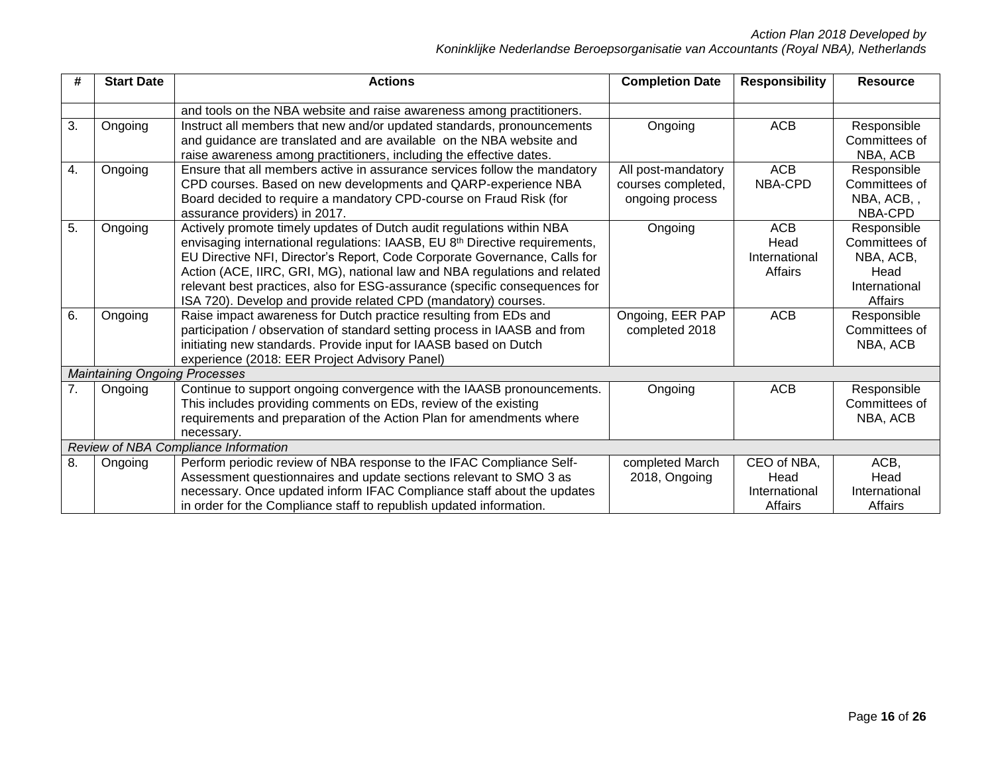| #  | <b>Start Date</b>                    | <b>Actions</b>                                                                                                                                                                                                                                                                                                                                                                                                                                                             | <b>Completion Date</b>                                      | <b>Responsibility</b>                           | <b>Resource</b>                                                               |  |  |  |
|----|--------------------------------------|----------------------------------------------------------------------------------------------------------------------------------------------------------------------------------------------------------------------------------------------------------------------------------------------------------------------------------------------------------------------------------------------------------------------------------------------------------------------------|-------------------------------------------------------------|-------------------------------------------------|-------------------------------------------------------------------------------|--|--|--|
|    |                                      | and tools on the NBA website and raise awareness among practitioners.                                                                                                                                                                                                                                                                                                                                                                                                      |                                                             |                                                 |                                                                               |  |  |  |
| 3. | Ongoing                              | Instruct all members that new and/or updated standards, pronouncements<br>and guidance are translated and are available on the NBA website and<br>raise awareness among practitioners, including the effective dates.                                                                                                                                                                                                                                                      | Ongoing                                                     | <b>ACB</b>                                      | Responsible<br>Committees of<br>NBA, ACB                                      |  |  |  |
| 4. | Ongoing                              | Ensure that all members active in assurance services follow the mandatory<br>CPD courses. Based on new developments and QARP-experience NBA<br>Board decided to require a mandatory CPD-course on Fraud Risk (for<br>assurance providers) in 2017.                                                                                                                                                                                                                         | All post-mandatory<br>courses completed,<br>ongoing process | <b>ACB</b><br>NBA-CPD                           | Responsible<br>Committees of<br>NBA, ACB,,<br>NBA-CPD                         |  |  |  |
| 5. | Ongoing                              | Actively promote timely updates of Dutch audit regulations within NBA<br>envisaging international regulations: IAASB, EU 8 <sup>th</sup> Directive requirements,<br>EU Directive NFI, Director's Report, Code Corporate Governance, Calls for<br>Action (ACE, IIRC, GRI, MG), national law and NBA regulations and related<br>relevant best practices, also for ESG-assurance (specific consequences for<br>ISA 720). Develop and provide related CPD (mandatory) courses. | Ongoing                                                     | <b>ACB</b><br>Head<br>International<br>Affairs  | Responsible<br>Committees of<br>NBA, ACB,<br>Head<br>International<br>Affairs |  |  |  |
| 6. | Ongoing                              | Raise impact awareness for Dutch practice resulting from EDs and<br>participation / observation of standard setting process in IAASB and from<br>initiating new standards. Provide input for IAASB based on Dutch<br>experience (2018: EER Project Advisory Panel)                                                                                                                                                                                                         | Ongoing, EER PAP<br>completed 2018                          | <b>ACB</b>                                      | Responsible<br>Committees of<br>NBA, ACB                                      |  |  |  |
|    | <b>Maintaining Ongoing Processes</b> |                                                                                                                                                                                                                                                                                                                                                                                                                                                                            |                                                             |                                                 |                                                                               |  |  |  |
| 7. | Ongoing                              | Continue to support ongoing convergence with the IAASB pronouncements.<br>This includes providing comments on EDs, review of the existing<br>requirements and preparation of the Action Plan for amendments where<br>necessary.                                                                                                                                                                                                                                            | Ongoing                                                     | <b>ACB</b>                                      | Responsible<br>Committees of<br>NBA, ACB                                      |  |  |  |
|    | Review of NBA Compliance Information |                                                                                                                                                                                                                                                                                                                                                                                                                                                                            |                                                             |                                                 |                                                                               |  |  |  |
| 8. | Ongoing                              | Perform periodic review of NBA response to the IFAC Compliance Self-<br>Assessment questionnaires and update sections relevant to SMO 3 as<br>necessary. Once updated inform IFAC Compliance staff about the updates<br>in order for the Compliance staff to republish updated information.                                                                                                                                                                                | completed March<br>2018, Ongoing                            | CEO of NBA,<br>Head<br>International<br>Affairs | ACB,<br>Head<br>International<br>Affairs                                      |  |  |  |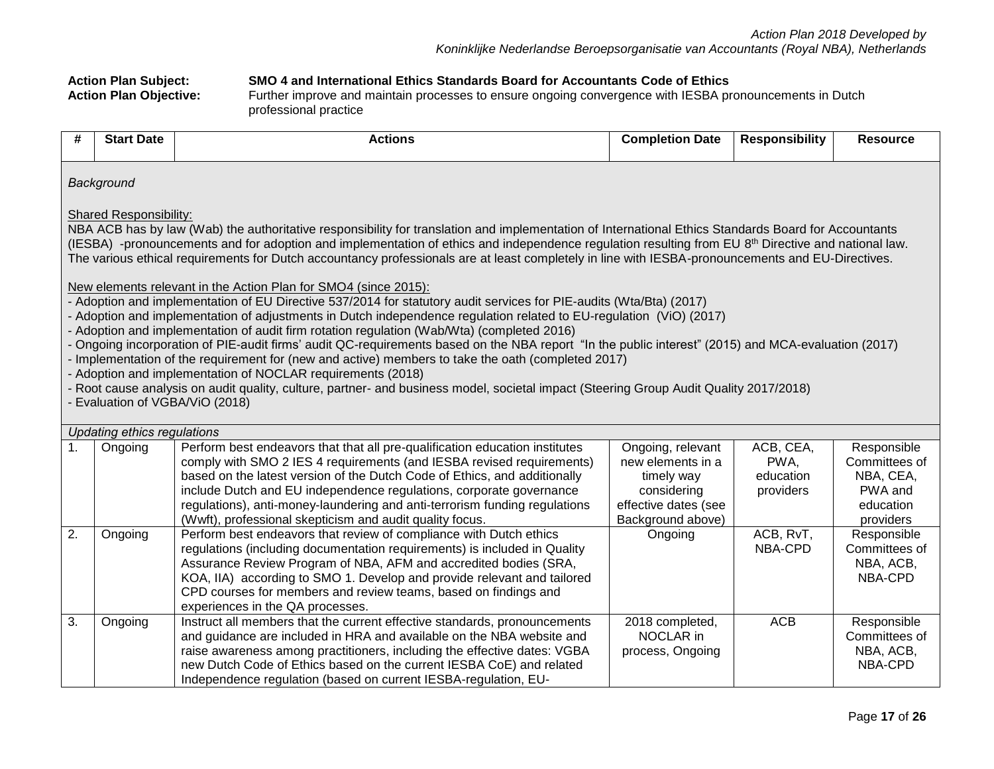**Action Plan Subject: SMO 4 and International Ethics Standards Board for Accountants Code of Ethics**

Further improve and maintain processes to ensure ongoing convergence with IESBA pronouncements in Dutch professional practice

| #                                                                                                                                                                                                                                                                                                                                                                                                                                                                                                                                                                                                                                                                                                                                                                                                                                                                                                                                                                                                                                                                                                                                                                                                                                                                                                                                                                                      | <b>Start Date</b>               | <b>Actions</b>                                                                                                                                                                                                                                                                                                                                                                                                                                     | <b>Completion Date</b>                                                                                           | <b>Responsibility</b>                       | <b>Resource</b>                                                                |  |  |  |  |
|----------------------------------------------------------------------------------------------------------------------------------------------------------------------------------------------------------------------------------------------------------------------------------------------------------------------------------------------------------------------------------------------------------------------------------------------------------------------------------------------------------------------------------------------------------------------------------------------------------------------------------------------------------------------------------------------------------------------------------------------------------------------------------------------------------------------------------------------------------------------------------------------------------------------------------------------------------------------------------------------------------------------------------------------------------------------------------------------------------------------------------------------------------------------------------------------------------------------------------------------------------------------------------------------------------------------------------------------------------------------------------------|---------------------------------|----------------------------------------------------------------------------------------------------------------------------------------------------------------------------------------------------------------------------------------------------------------------------------------------------------------------------------------------------------------------------------------------------------------------------------------------------|------------------------------------------------------------------------------------------------------------------|---------------------------------------------|--------------------------------------------------------------------------------|--|--|--|--|
|                                                                                                                                                                                                                                                                                                                                                                                                                                                                                                                                                                                                                                                                                                                                                                                                                                                                                                                                                                                                                                                                                                                                                                                                                                                                                                                                                                                        | Background                      |                                                                                                                                                                                                                                                                                                                                                                                                                                                    |                                                                                                                  |                                             |                                                                                |  |  |  |  |
| <b>Shared Responsibility:</b><br>NBA ACB has by law (Wab) the authoritative responsibility for translation and implementation of International Ethics Standards Board for Accountants<br>(IESBA) -pronouncements and for adoption and implementation of ethics and independence regulation resulting from EU 8th Directive and national law.<br>The various ethical requirements for Dutch accountancy professionals are at least completely in line with IESBA-pronouncements and EU-Directives.<br>New elements relevant in the Action Plan for SMO4 (since 2015):<br>- Adoption and implementation of EU Directive 537/2014 for statutory audit services for PIE-audits (Wta/Bta) (2017)<br>- Adoption and implementation of adjustments in Dutch independence regulation related to EU-regulation (ViO) (2017)<br>- Adoption and implementation of audit firm rotation regulation (Wab/Wta) (completed 2016)<br>- Ongoing incorporation of PIE-audit firms' audit QC-requirements based on the NBA report "In the public interest" (2015) and MCA-evaluation (2017)<br>- Implementation of the requirement for (new and active) members to take the oath (completed 2017)<br>- Adoption and implementation of NOCLAR requirements (2018)<br>- Root cause analysis on audit quality, culture, partner- and business model, societal impact (Steering Group Audit Quality 2017/2018) |                                 |                                                                                                                                                                                                                                                                                                                                                                                                                                                    |                                                                                                                  |                                             |                                                                                |  |  |  |  |
|                                                                                                                                                                                                                                                                                                                                                                                                                                                                                                                                                                                                                                                                                                                                                                                                                                                                                                                                                                                                                                                                                                                                                                                                                                                                                                                                                                                        | - Evaluation of VGBA/ViO (2018) |                                                                                                                                                                                                                                                                                                                                                                                                                                                    |                                                                                                                  |                                             |                                                                                |  |  |  |  |
|                                                                                                                                                                                                                                                                                                                                                                                                                                                                                                                                                                                                                                                                                                                                                                                                                                                                                                                                                                                                                                                                                                                                                                                                                                                                                                                                                                                        | Updating ethics regulations     |                                                                                                                                                                                                                                                                                                                                                                                                                                                    |                                                                                                                  |                                             |                                                                                |  |  |  |  |
| 1.                                                                                                                                                                                                                                                                                                                                                                                                                                                                                                                                                                                                                                                                                                                                                                                                                                                                                                                                                                                                                                                                                                                                                                                                                                                                                                                                                                                     | Ongoing                         | Perform best endeavors that that all pre-qualification education institutes<br>comply with SMO 2 IES 4 requirements (and IESBA revised requirements)<br>based on the latest version of the Dutch Code of Ethics, and additionally<br>include Dutch and EU independence regulations, corporate governance<br>regulations), anti-money-laundering and anti-terrorism funding regulations<br>(Wwft), professional skepticism and audit quality focus. | Ongoing, relevant<br>new elements in a<br>timely way<br>considering<br>effective dates (see<br>Background above) | ACB, CEA,<br>PWA,<br>education<br>providers | Responsible<br>Committees of<br>NBA, CEA,<br>PWA and<br>education<br>providers |  |  |  |  |
| 2.                                                                                                                                                                                                                                                                                                                                                                                                                                                                                                                                                                                                                                                                                                                                                                                                                                                                                                                                                                                                                                                                                                                                                                                                                                                                                                                                                                                     | Ongoing                         | Perform best endeavors that review of compliance with Dutch ethics<br>regulations (including documentation requirements) is included in Quality<br>Assurance Review Program of NBA, AFM and accredited bodies (SRA,<br>KOA, IIA) according to SMO 1. Develop and provide relevant and tailored<br>CPD courses for members and review teams, based on findings and<br>experiences in the QA processes.                                              | Ongoing                                                                                                          | ACB, RvT,<br>NBA-CPD                        | Responsible<br>Committees of<br>NBA, ACB,<br>NBA-CPD                           |  |  |  |  |
| 3.                                                                                                                                                                                                                                                                                                                                                                                                                                                                                                                                                                                                                                                                                                                                                                                                                                                                                                                                                                                                                                                                                                                                                                                                                                                                                                                                                                                     | Ongoing                         | Instruct all members that the current effective standards, pronouncements<br>and guidance are included in HRA and available on the NBA website and<br>raise awareness among practitioners, including the effective dates: VGBA<br>new Dutch Code of Ethics based on the current IESBA CoE) and related<br>Independence regulation (based on current IESBA-regulation, EU-                                                                          | 2018 completed,<br>NOCLAR in<br>process, Ongoing                                                                 | <b>ACB</b>                                  | Responsible<br>Committees of<br>NBA, ACB,<br>NBA-CPD                           |  |  |  |  |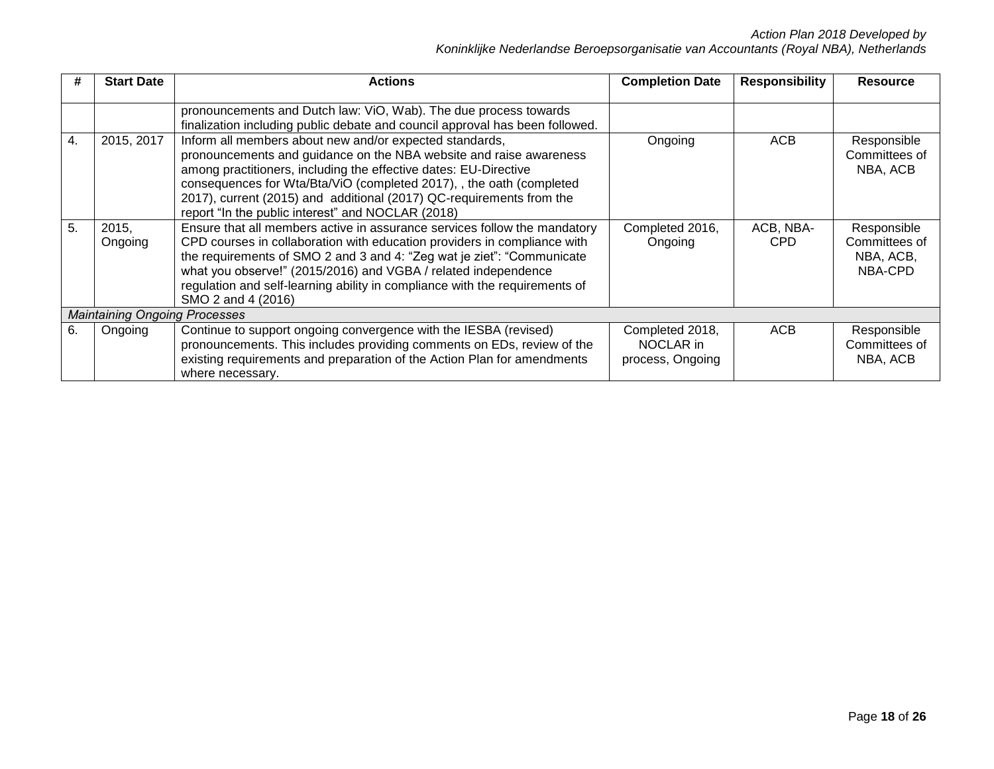|    | <b>Start Date</b>                    | <b>Actions</b>                                                                                                                                                                                                                                                                                                                                                                                         | <b>Completion Date</b>                           | <b>Responsibility</b> | <b>Resource</b>                                      |  |  |  |
|----|--------------------------------------|--------------------------------------------------------------------------------------------------------------------------------------------------------------------------------------------------------------------------------------------------------------------------------------------------------------------------------------------------------------------------------------------------------|--------------------------------------------------|-----------------------|------------------------------------------------------|--|--|--|
|    |                                      | pronouncements and Dutch law: ViO, Wab). The due process towards<br>finalization including public debate and council approval has been followed.                                                                                                                                                                                                                                                       |                                                  |                       |                                                      |  |  |  |
| 4. | 2015, 2017                           | Inform all members about new and/or expected standards,<br>pronouncements and guidance on the NBA website and raise awareness<br>among practitioners, including the effective dates: EU-Directive<br>consequences for Wta/Bta/ViO (completed 2017), , the oath (completed<br>2017), current (2015) and additional (2017) QC-requirements from the<br>report "In the public interest" and NOCLAR (2018) | Ongoing                                          | <b>ACB</b>            | Responsible<br>Committees of<br>NBA, ACB             |  |  |  |
| 5. | 2015,<br>Ongoing                     | Ensure that all members active in assurance services follow the mandatory<br>CPD courses in collaboration with education providers in compliance with<br>the requirements of SMO 2 and 3 and 4: "Zeg wat je ziet": "Communicate<br>what you observe!" (2015/2016) and VGBA / related independence<br>regulation and self-learning ability in compliance with the requirements of<br>SMO 2 and 4 (2016) | Completed 2016,<br>Ongoing                       | ACB, NBA-<br>CPD      | Responsible<br>Committees of<br>NBA, ACB,<br>NBA-CPD |  |  |  |
|    | <b>Maintaining Ongoing Processes</b> |                                                                                                                                                                                                                                                                                                                                                                                                        |                                                  |                       |                                                      |  |  |  |
| 6. | Ongoing                              | Continue to support ongoing convergence with the IESBA (revised)<br>pronouncements. This includes providing comments on EDs, review of the<br>existing requirements and preparation of the Action Plan for amendments<br>where necessary.                                                                                                                                                              | Completed 2018,<br>NOCLAR in<br>process, Ongoing | <b>ACB</b>            | Responsible<br>Committees of<br>NBA, ACB             |  |  |  |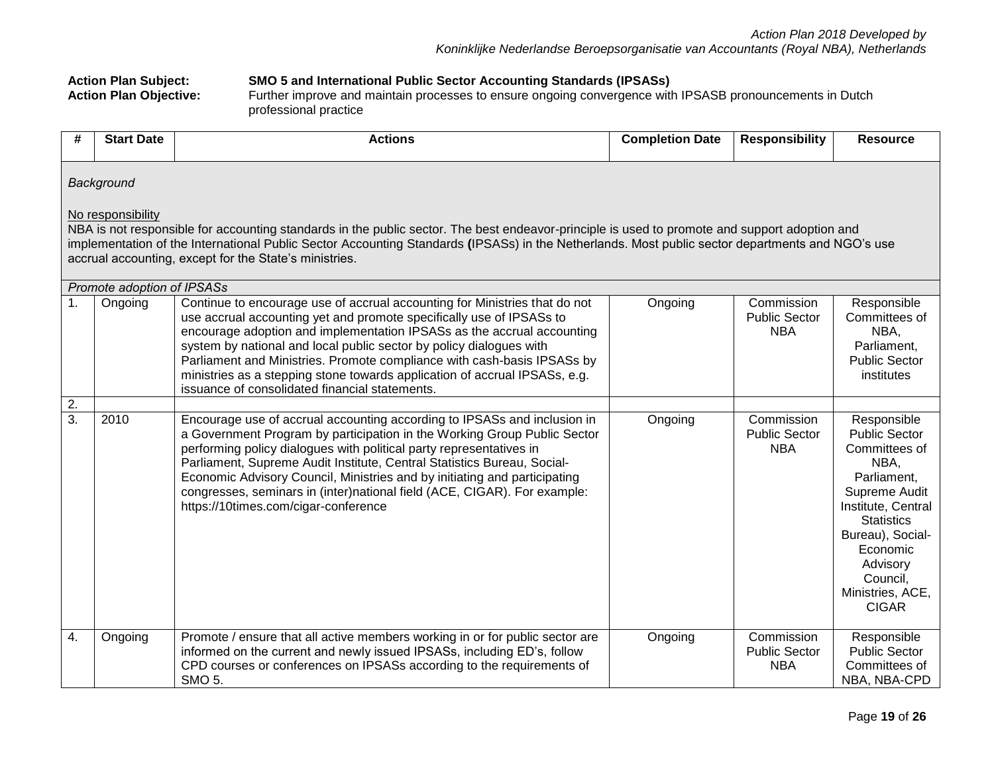**Action Plan Subject: SMO 5 and International Public Sector Accounting Standards (IPSASs) Action Plan Objective:** Further improve and maintain processes to ensure ongoing convergence with IPSASB pronouncements in Dutch professional practice **# Start Date Actions Completion Date Responsibility Resource** *Background* No responsibility NBA is not responsible for accounting standards in the public sector. The best endeavor-principle is used to promote and support adoption and implementation of the International Public Sector Accounting Standards **(**IPSASs) in the Netherlands. Most public sector departments and NGO's use accrual accounting, except for the State's ministries. *Promote adoption of IPSASs* 1. Ongoing Continue to encourage use of accrual accounting for Ministries that do not use accrual accounting yet and promote specifically use of IPSASs to encourage adoption and implementation IPSASs as the accrual accounting system by national and local public sector by policy dialogues with Parliament and Ministries. Promote compliance with cash-basis IPSASs by ministries as a stepping stone towards application of accrual IPSASs, e.g. issuance of consolidated financial statements. Ongoing Commission Public Sector NBA Responsible Committees of NBA, Parliament, Public Sector institutes 2. 3. 2010 Encourage use of accrual accounting according to IPSASs and inclusion in a Government Program by participation in the Working Group Public Sector performing policy dialogues with political party representatives in Parliament, Supreme Audit Institute, Central Statistics Bureau, Social-Economic Advisory Council, Ministries and by initiating and participating congresses, seminars in (inter)national field (ACE, CIGAR). For example: https://10times.com/cigar-conference Ongoing Commission Public Sector NBA Responsible Public Sector Committees of NBA, Parliament, Supreme Audit Institute, Central **Statistics** Bureau), Social-Economic Advisory Council, Ministries, ACE, CIGAR 4. Ongoing Promote / ensure that all active members working in or for public sector are informed on the current and newly issued IPSASs, including ED's, follow CPD courses or conferences on IPSASs according to the requirements of SMO 5. Ongoing Commission Public Sector NBA Responsible Public Sector Committees of NBA, NBA-CPD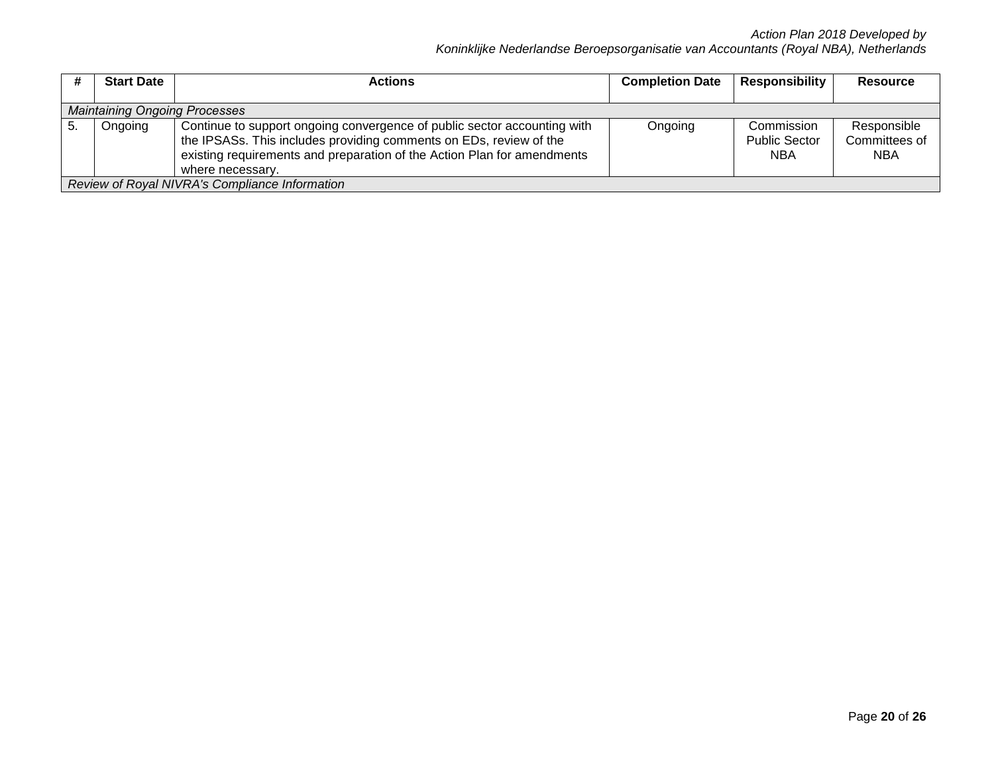|     | <b>Start Date</b>                                                                                                                                                                                                                                        | <b>Actions</b> | <b>Completion Date</b> | Responsibility                                   | <b>Resource</b>                            |  |  |  |
|-----|----------------------------------------------------------------------------------------------------------------------------------------------------------------------------------------------------------------------------------------------------------|----------------|------------------------|--------------------------------------------------|--------------------------------------------|--|--|--|
|     |                                                                                                                                                                                                                                                          |                |                        |                                                  |                                            |  |  |  |
|     | <b>Maintaining Ongoing Processes</b>                                                                                                                                                                                                                     |                |                        |                                                  |                                            |  |  |  |
| -5. | Continue to support ongoing convergence of public sector accounting with<br>Ongoing<br>the IPSASs. This includes providing comments on EDs, review of the<br>existing requirements and preparation of the Action Plan for amendments<br>where necessary. |                | Ongoing                | Commission<br><b>Public Sector</b><br><b>NBA</b> | Responsible<br>Committees of<br><b>NBA</b> |  |  |  |
|     | Review of Royal NIVRA's Compliance Information                                                                                                                                                                                                           |                |                        |                                                  |                                            |  |  |  |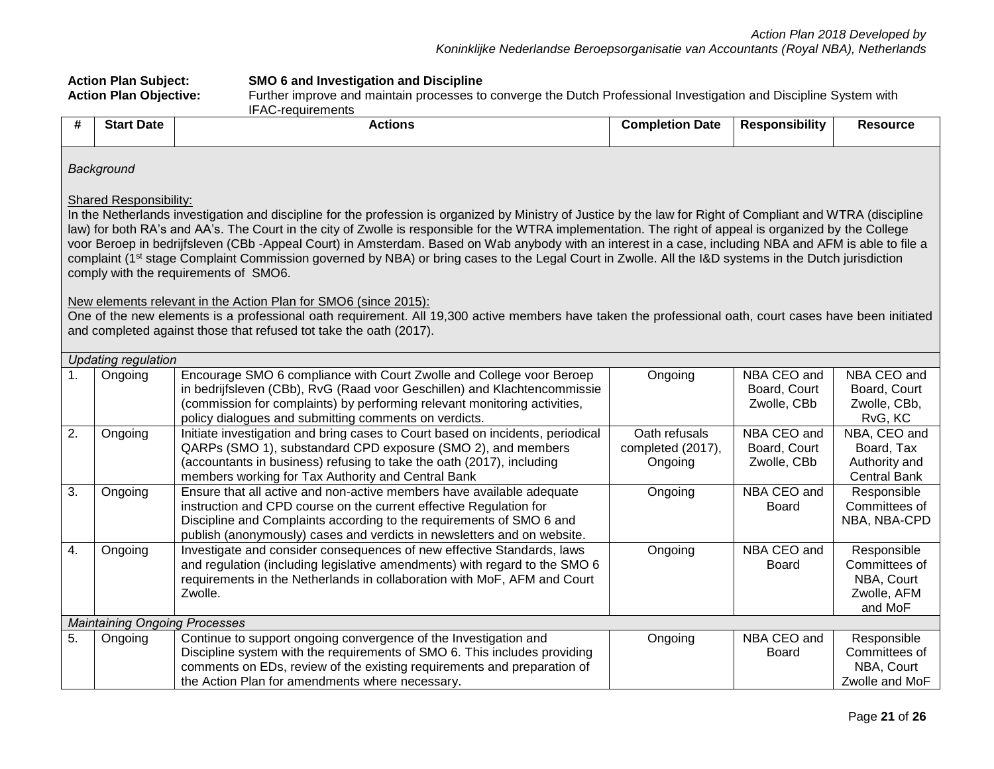|                                                                                                                                                                                                                                                                                                                                                                                                                                                                                                                                                                                                                                                                                                                                                                                                                                                                                                                                                                   | <b>Action Plan Subject:</b><br>SMO 6 and Investigation and Discipline<br><b>Action Plan Objective:</b><br>Further improve and maintain processes to converge the Dutch Professional Investigation and Discipline System with<br><b>IFAC-requirements</b> |                                                                                                                                                                                                                                                                                                |                                               |                                            |                                                                      |  |  |  |
|-------------------------------------------------------------------------------------------------------------------------------------------------------------------------------------------------------------------------------------------------------------------------------------------------------------------------------------------------------------------------------------------------------------------------------------------------------------------------------------------------------------------------------------------------------------------------------------------------------------------------------------------------------------------------------------------------------------------------------------------------------------------------------------------------------------------------------------------------------------------------------------------------------------------------------------------------------------------|----------------------------------------------------------------------------------------------------------------------------------------------------------------------------------------------------------------------------------------------------------|------------------------------------------------------------------------------------------------------------------------------------------------------------------------------------------------------------------------------------------------------------------------------------------------|-----------------------------------------------|--------------------------------------------|----------------------------------------------------------------------|--|--|--|
| #                                                                                                                                                                                                                                                                                                                                                                                                                                                                                                                                                                                                                                                                                                                                                                                                                                                                                                                                                                 | <b>Start Date</b>                                                                                                                                                                                                                                        | <b>Actions</b>                                                                                                                                                                                                                                                                                 | <b>Completion Date</b>                        | <b>Responsibility</b>                      | <b>Resource</b>                                                      |  |  |  |
|                                                                                                                                                                                                                                                                                                                                                                                                                                                                                                                                                                                                                                                                                                                                                                                                                                                                                                                                                                   | Background                                                                                                                                                                                                                                               |                                                                                                                                                                                                                                                                                                |                                               |                                            |                                                                      |  |  |  |
| <b>Shared Responsibility:</b><br>In the Netherlands investigation and discipline for the profession is organized by Ministry of Justice by the law for Right of Compliant and WTRA (discipline<br>law) for both RA's and AA's. The Court in the city of Zwolle is responsible for the WTRA implementation. The right of appeal is organized by the College<br>voor Beroep in bedrijfsleven (CBb -Appeal Court) in Amsterdam. Based on Wab anybody with an interest in a case, including NBA and AFM is able to file a<br>complaint (1 <sup>st</sup> stage Complaint Commission governed by NBA) or bring cases to the Legal Court in Zwolle. All the I&D systems in the Dutch jurisdiction<br>comply with the requirements of SMO6.<br>New elements relevant in the Action Plan for SMO6 (since 2015):<br>One of the new elements is a professional oath requirement. All 19,300 active members have taken the professional oath, court cases have been initiated |                                                                                                                                                                                                                                                          |                                                                                                                                                                                                                                                                                                |                                               |                                            |                                                                      |  |  |  |
| and completed against those that refused tot take the oath (2017).<br><b>Updating regulation</b>                                                                                                                                                                                                                                                                                                                                                                                                                                                                                                                                                                                                                                                                                                                                                                                                                                                                  |                                                                                                                                                                                                                                                          |                                                                                                                                                                                                                                                                                                |                                               |                                            |                                                                      |  |  |  |
| $\mathbf{1}$ .                                                                                                                                                                                                                                                                                                                                                                                                                                                                                                                                                                                                                                                                                                                                                                                                                                                                                                                                                    | Ongoing                                                                                                                                                                                                                                                  | Encourage SMO 6 compliance with Court Zwolle and College voor Beroep<br>in bedrijfsleven (CBb), RvG (Raad voor Geschillen) and Klachtencommissie<br>(commission for complaints) by performing relevant monitoring activities,<br>policy dialogues and submitting comments on verdicts.         | Ongoing                                       | NBA CEO and<br>Board, Court<br>Zwolle, CBb | NBA CEO and<br>Board, Court<br>Zwolle, CBb,<br>RvG, KC               |  |  |  |
| $\overline{2}$ .                                                                                                                                                                                                                                                                                                                                                                                                                                                                                                                                                                                                                                                                                                                                                                                                                                                                                                                                                  | Ongoing                                                                                                                                                                                                                                                  | Initiate investigation and bring cases to Court based on incidents, periodical<br>QARPs (SMO 1), substandard CPD exposure (SMO 2), and members<br>(accountants in business) refusing to take the oath (2017), including<br>members working for Tax Authority and Central Bank                  | Oath refusals<br>completed (2017),<br>Ongoing | NBA CEO and<br>Board, Court<br>Zwolle, CBb | NBA, CEO and<br>Board, Tax<br>Authority and<br><b>Central Bank</b>   |  |  |  |
| $\overline{3}$ .                                                                                                                                                                                                                                                                                                                                                                                                                                                                                                                                                                                                                                                                                                                                                                                                                                                                                                                                                  | Ongoing                                                                                                                                                                                                                                                  | Ensure that all active and non-active members have available adequate<br>instruction and CPD course on the current effective Regulation for<br>Discipline and Complaints according to the requirements of SMO 6 and<br>publish (anonymously) cases and verdicts in newsletters and on website. | Ongoing                                       | NBA CEO and<br><b>Board</b>                | Responsible<br>Committees of<br>NBA, NBA-CPD                         |  |  |  |
| $\overline{4}$ .                                                                                                                                                                                                                                                                                                                                                                                                                                                                                                                                                                                                                                                                                                                                                                                                                                                                                                                                                  | Ongoing                                                                                                                                                                                                                                                  | Investigate and consider consequences of new effective Standards, laws<br>and regulation (including legislative amendments) with regard to the SMO 6<br>requirements in the Netherlands in collaboration with MoF, AFM and Court<br>Zwolle.                                                    | Ongoing                                       | NBA CEO and<br><b>Board</b>                | Responsible<br>Committees of<br>NBA, Court<br>Zwolle, AFM<br>and MoF |  |  |  |
|                                                                                                                                                                                                                                                                                                                                                                                                                                                                                                                                                                                                                                                                                                                                                                                                                                                                                                                                                                   | <b>Maintaining Ongoing Processes</b>                                                                                                                                                                                                                     |                                                                                                                                                                                                                                                                                                |                                               |                                            |                                                                      |  |  |  |
| 5.                                                                                                                                                                                                                                                                                                                                                                                                                                                                                                                                                                                                                                                                                                                                                                                                                                                                                                                                                                | Ongoing                                                                                                                                                                                                                                                  | Continue to support ongoing convergence of the Investigation and<br>Discipline system with the requirements of SMO 6. This includes providing<br>comments on EDs, review of the existing requirements and preparation of<br>the Action Plan for amendments where necessary.                    | Ongoing                                       | NBA CEO and<br>Board                       | Responsible<br>Committees of<br>NBA, Court<br>Zwolle and MoF         |  |  |  |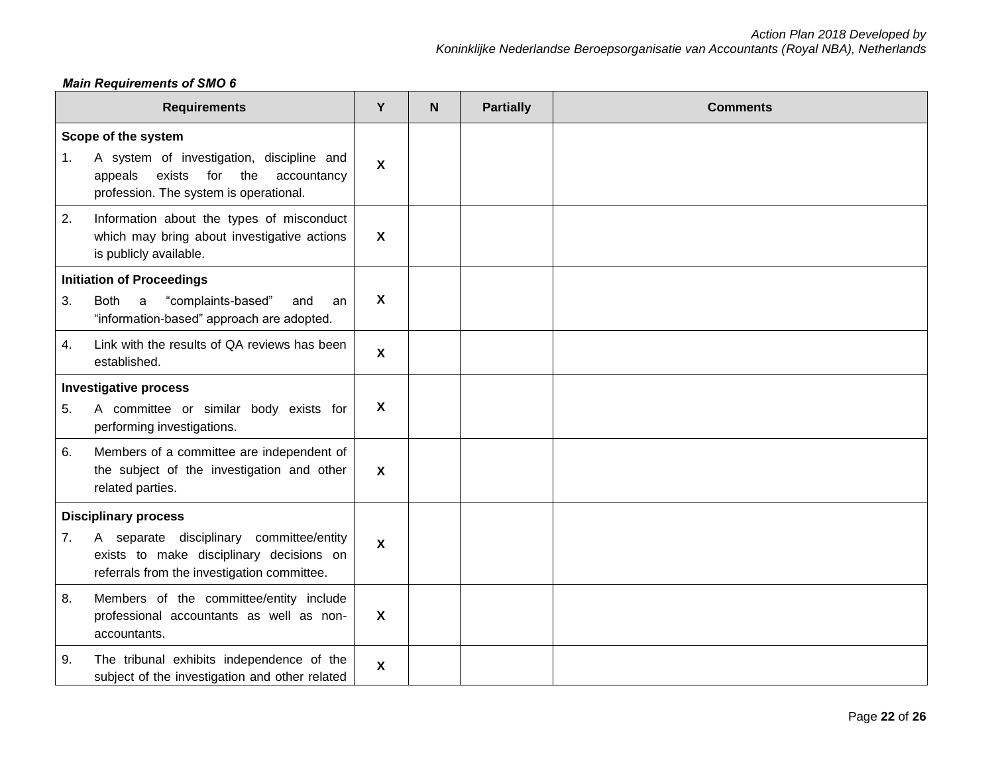## *Main Requirements of SMO 6*

|    | <b>Requirements</b>                                                                                                                                                | Y                         | N | <b>Partially</b> | <b>Comments</b> |
|----|--------------------------------------------------------------------------------------------------------------------------------------------------------------------|---------------------------|---|------------------|-----------------|
| 1. | Scope of the system<br>A system of investigation, discipline and<br>exists<br>for<br>the<br>appeals<br>accountancy<br>profession. The system is operational.       | $\boldsymbol{\mathsf{X}}$ |   |                  |                 |
| 2. | Information about the types of misconduct<br>which may bring about investigative actions<br>is publicly available.                                                 | $\boldsymbol{X}$          |   |                  |                 |
| 3. | <b>Initiation of Proceedings</b><br>"complaints-based"<br>Both<br>and<br>a<br>an<br>"information-based" approach are adopted.                                      | X                         |   |                  |                 |
| 4. | Link with the results of QA reviews has been<br>established.                                                                                                       | $\boldsymbol{\mathsf{X}}$ |   |                  |                 |
| 5. | <b>Investigative process</b><br>A committee or similar body exists for<br>performing investigations.                                                               | X                         |   |                  |                 |
| 6. | Members of a committee are independent of<br>the subject of the investigation and other<br>related parties.                                                        | $\boldsymbol{\mathsf{X}}$ |   |                  |                 |
| 7. | <b>Disciplinary process</b><br>A separate disciplinary committee/entity<br>exists to make disciplinary decisions on<br>referrals from the investigation committee. | X                         |   |                  |                 |
| 8. | Members of the committee/entity include<br>professional accountants as well as non-<br>accountants.                                                                | X                         |   |                  |                 |
| 9. | The tribunal exhibits independence of the<br>subject of the investigation and other related                                                                        | X                         |   |                  |                 |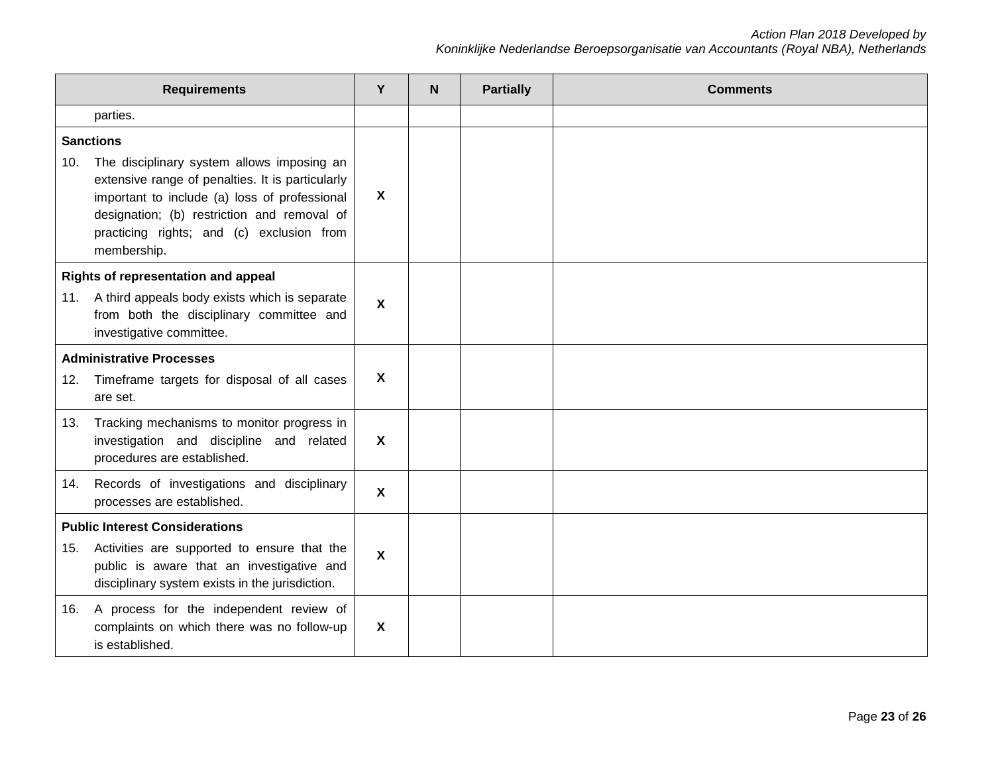| <b>Requirements</b>             |                                                                                                                                                                                                                                                            |                           | N | <b>Partially</b> | <b>Comments</b> |
|---------------------------------|------------------------------------------------------------------------------------------------------------------------------------------------------------------------------------------------------------------------------------------------------------|---------------------------|---|------------------|-----------------|
|                                 | parties.                                                                                                                                                                                                                                                   |                           |   |                  |                 |
|                                 | <b>Sanctions</b>                                                                                                                                                                                                                                           |                           |   |                  |                 |
| 10.                             | The disciplinary system allows imposing an<br>extensive range of penalties. It is particularly<br>important to include (a) loss of professional<br>designation; (b) restriction and removal of<br>practicing rights; and (c) exclusion from<br>membership. | X                         |   |                  |                 |
|                                 | Rights of representation and appeal                                                                                                                                                                                                                        |                           |   |                  |                 |
| 11.                             | A third appeals body exists which is separate<br>from both the disciplinary committee and<br>investigative committee.                                                                                                                                      | X                         |   |                  |                 |
| <b>Administrative Processes</b> |                                                                                                                                                                                                                                                            |                           |   |                  |                 |
| 12.                             | Timeframe targets for disposal of all cases<br>are set.                                                                                                                                                                                                    | X                         |   |                  |                 |
| 13.                             | Tracking mechanisms to monitor progress in<br>investigation and discipline and related<br>procedures are established.                                                                                                                                      | $\boldsymbol{\mathsf{X}}$ |   |                  |                 |
| 14.                             | Records of investigations and disciplinary<br>processes are established.                                                                                                                                                                                   | X                         |   |                  |                 |
|                                 | <b>Public Interest Considerations</b>                                                                                                                                                                                                                      |                           |   |                  |                 |
| 15.                             | Activities are supported to ensure that the<br>public is aware that an investigative and<br>disciplinary system exists in the jurisdiction.                                                                                                                | X                         |   |                  |                 |
| 16.                             | A process for the independent review of<br>complaints on which there was no follow-up<br>is established.                                                                                                                                                   | $\boldsymbol{\mathsf{X}}$ |   |                  |                 |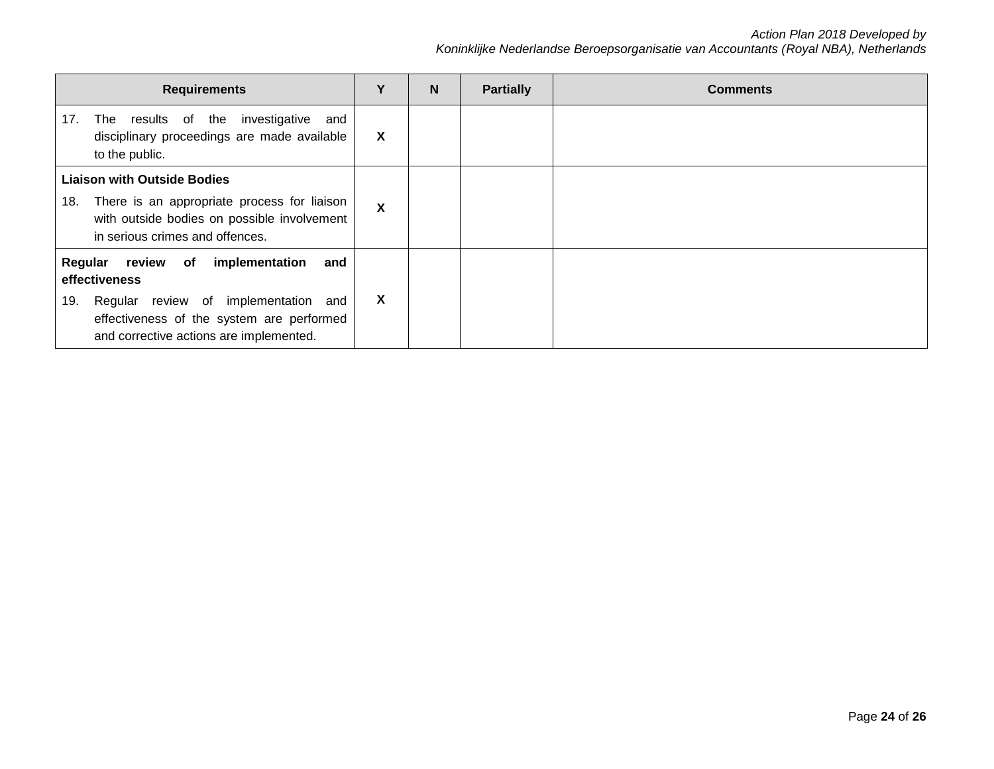| <b>Requirements</b>                                                                                                                                                                                         |   | N | <b>Partially</b> | <b>Comments</b> |
|-------------------------------------------------------------------------------------------------------------------------------------------------------------------------------------------------------------|---|---|------------------|-----------------|
| investigative<br>The results of the<br>17.<br>and<br>disciplinary proceedings are made available<br>to the public.                                                                                          | X |   |                  |                 |
| <b>Liaison with Outside Bodies</b><br>There is an appropriate process for liaison<br>18.<br>with outside bodies on possible involvement<br>in serious crimes and offences.                                  | X |   |                  |                 |
| Regular<br>implementation<br>review<br>of<br>and<br>effectiveness<br>Regular review of implementation<br>19.<br>and<br>effectiveness of the system are performed<br>and corrective actions are implemented. | X |   |                  |                 |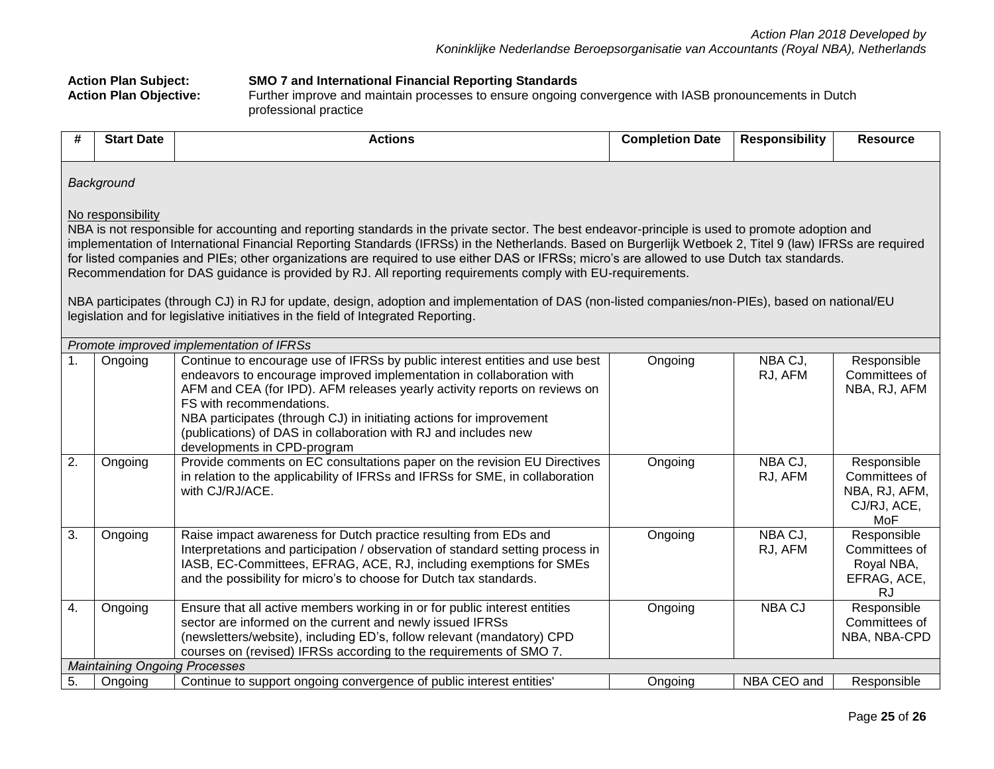|                                                                                                                                                                                                                                                                                                                                                                                                                                                                                                                                                                                                                                                                                                                                                                                                                                          | <b>Action Plan Subject:</b><br><b>SMO 7 and International Financial Reporting Standards</b><br><b>Action Plan Objective:</b><br>Further improve and maintain processes to ensure ongoing convergence with IASB pronouncements in Dutch<br>professional practice |                                                                                                                                                                                                                                                                                                                                                                                                                                       |                        |                       |                                                                     |  |  |  |  |  |
|------------------------------------------------------------------------------------------------------------------------------------------------------------------------------------------------------------------------------------------------------------------------------------------------------------------------------------------------------------------------------------------------------------------------------------------------------------------------------------------------------------------------------------------------------------------------------------------------------------------------------------------------------------------------------------------------------------------------------------------------------------------------------------------------------------------------------------------|-----------------------------------------------------------------------------------------------------------------------------------------------------------------------------------------------------------------------------------------------------------------|---------------------------------------------------------------------------------------------------------------------------------------------------------------------------------------------------------------------------------------------------------------------------------------------------------------------------------------------------------------------------------------------------------------------------------------|------------------------|-----------------------|---------------------------------------------------------------------|--|--|--|--|--|
| #                                                                                                                                                                                                                                                                                                                                                                                                                                                                                                                                                                                                                                                                                                                                                                                                                                        | <b>Start Date</b>                                                                                                                                                                                                                                               | <b>Actions</b>                                                                                                                                                                                                                                                                                                                                                                                                                        | <b>Completion Date</b> | <b>Responsibility</b> | <b>Resource</b>                                                     |  |  |  |  |  |
|                                                                                                                                                                                                                                                                                                                                                                                                                                                                                                                                                                                                                                                                                                                                                                                                                                          | Background                                                                                                                                                                                                                                                      |                                                                                                                                                                                                                                                                                                                                                                                                                                       |                        |                       |                                                                     |  |  |  |  |  |
| No responsibility<br>NBA is not responsible for accounting and reporting standards in the private sector. The best endeavor-principle is used to promote adoption and<br>implementation of International Financial Reporting Standards (IFRSs) in the Netherlands. Based on Burgerlijk Wetboek 2, Titel 9 (law) IFRSs are required<br>for listed companies and PIEs; other organizations are required to use either DAS or IFRSs; micro's are allowed to use Dutch tax standards.<br>Recommendation for DAS guidance is provided by RJ. All reporting requirements comply with EU-requirements.<br>NBA participates (through CJ) in RJ for update, design, adoption and implementation of DAS (non-listed companies/non-PIEs), based on national/EU<br>legislation and for legislative initiatives in the field of Integrated Reporting. |                                                                                                                                                                                                                                                                 |                                                                                                                                                                                                                                                                                                                                                                                                                                       |                        |                       |                                                                     |  |  |  |  |  |
|                                                                                                                                                                                                                                                                                                                                                                                                                                                                                                                                                                                                                                                                                                                                                                                                                                          |                                                                                                                                                                                                                                                                 | Promote improved implementation of IFRSs                                                                                                                                                                                                                                                                                                                                                                                              |                        |                       |                                                                     |  |  |  |  |  |
| $\mathbf{1}$ .                                                                                                                                                                                                                                                                                                                                                                                                                                                                                                                                                                                                                                                                                                                                                                                                                           | Ongoing                                                                                                                                                                                                                                                         | Continue to encourage use of IFRSs by public interest entities and use best<br>endeavors to encourage improved implementation in collaboration with<br>AFM and CEA (for IPD). AFM releases yearly activity reports on reviews on<br>FS with recommendations.<br>NBA participates (through CJ) in initiating actions for improvement<br>(publications) of DAS in collaboration with RJ and includes new<br>developments in CPD-program | Ongoing                | NBA CJ,<br>RJ, AFM    | Responsible<br>Committees of<br>NBA, RJ, AFM                        |  |  |  |  |  |
| $\overline{2}$ .                                                                                                                                                                                                                                                                                                                                                                                                                                                                                                                                                                                                                                                                                                                                                                                                                         | Ongoing                                                                                                                                                                                                                                                         | Provide comments on EC consultations paper on the revision EU Directives<br>in relation to the applicability of IFRSs and IFRSs for SME, in collaboration<br>with CJ/RJ/ACE.                                                                                                                                                                                                                                                          | Ongoing                | NBA CJ,<br>RJ, AFM    | Responsible<br>Committees of<br>NBA, RJ, AFM,<br>CJ/RJ, ACE,<br>MoF |  |  |  |  |  |
| $\overline{3}$ .<br>Raise impact awareness for Dutch practice resulting from EDs and<br>NBA CJ,<br>Ongoing<br>Ongoing<br>Responsible<br>Committees of<br>Interpretations and participation / observation of standard setting process in<br>RJ, AFM<br>IASB, EC-Committees, EFRAG, ACE, RJ, including exemptions for SMEs<br>Royal NBA,<br>EFRAG, ACE,<br>and the possibility for micro's to choose for Dutch tax standards.<br><b>RJ</b>                                                                                                                                                                                                                                                                                                                                                                                                 |                                                                                                                                                                                                                                                                 |                                                                                                                                                                                                                                                                                                                                                                                                                                       |                        |                       |                                                                     |  |  |  |  |  |
| $\overline{4}$ .                                                                                                                                                                                                                                                                                                                                                                                                                                                                                                                                                                                                                                                                                                                                                                                                                         | Ongoing                                                                                                                                                                                                                                                         | Ensure that all active members working in or for public interest entities<br>sector are informed on the current and newly issued IFRSs<br>(newsletters/website), including ED's, follow relevant (mandatory) CPD<br>courses on (revised) IFRSs according to the requirements of SMO 7.                                                                                                                                                | Ongoing                | <b>NBA CJ</b>         | Responsible<br>Committees of<br>NBA, NBA-CPD                        |  |  |  |  |  |
|                                                                                                                                                                                                                                                                                                                                                                                                                                                                                                                                                                                                                                                                                                                                                                                                                                          | <b>Maintaining Ongoing Processes</b>                                                                                                                                                                                                                            |                                                                                                                                                                                                                                                                                                                                                                                                                                       |                        |                       |                                                                     |  |  |  |  |  |
| 5.                                                                                                                                                                                                                                                                                                                                                                                                                                                                                                                                                                                                                                                                                                                                                                                                                                       | Ongoing                                                                                                                                                                                                                                                         | Continue to support ongoing convergence of public interest entities'                                                                                                                                                                                                                                                                                                                                                                  | Ongoing                | NBA CEO and           | Responsible                                                         |  |  |  |  |  |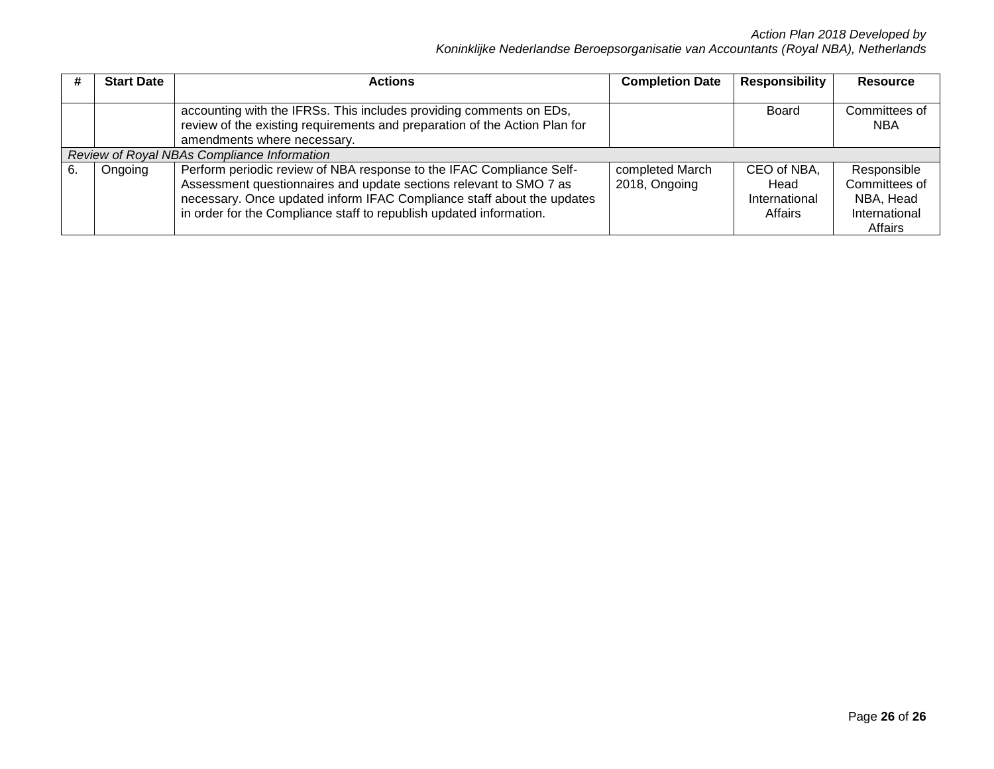|    | <b>Start Date</b> | <b>Actions</b>                                                                                                                                                                                                                                                                              | <b>Completion Date</b>           | <b>Responsibility</b>                           | <b>Resource</b>                                                       |
|----|-------------------|---------------------------------------------------------------------------------------------------------------------------------------------------------------------------------------------------------------------------------------------------------------------------------------------|----------------------------------|-------------------------------------------------|-----------------------------------------------------------------------|
|    |                   | accounting with the IFRSs. This includes providing comments on EDs,<br>review of the existing requirements and preparation of the Action Plan for<br>amendments where necessary.                                                                                                            |                                  | Board                                           | Committees of<br><b>NBA</b>                                           |
|    |                   | Review of Royal NBAs Compliance Information                                                                                                                                                                                                                                                 |                                  |                                                 |                                                                       |
| 6. | Ongoing           | Perform periodic review of NBA response to the IFAC Compliance Self-<br>Assessment questionnaires and update sections relevant to SMO 7 as<br>necessary. Once updated inform IFAC Compliance staff about the updates<br>in order for the Compliance staff to republish updated information. | completed March<br>2018, Ongoing | CEO of NBA,<br>Head<br>International<br>Affairs | Responsible<br>Committees of<br>NBA, Head<br>International<br>Affairs |